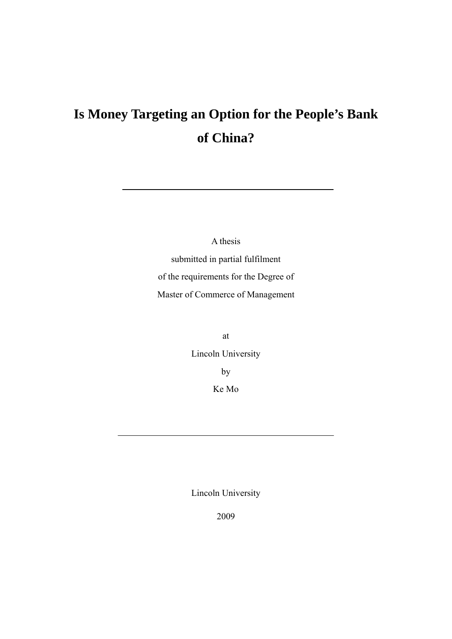# **Is Money Targeting an Option for the People's Bank of China?**

A thesis submitted in partial fulfilment of the requirements for the Degree of Master of Commerce of Management

> at Lincoln University by Ke Mo

> Lincoln University

2009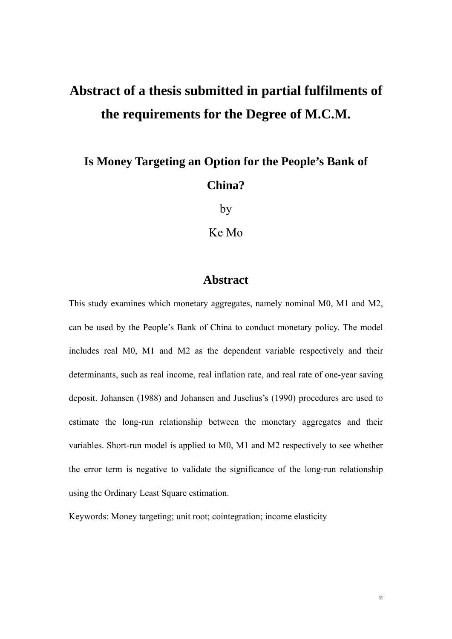# **Abstract of a thesis submitted in partial fulfilments of the requirements for the Degree of M.C.M.**

# **Is Money Targeting an Option for the People's Bank of China?**

by

Ke Mo

### **Abstract**

This study examines which monetary aggregates, namely nominal M0, M1 and M2, can be used by the People's Bank of China to conduct monetary policy. The model includes real M0, M1 and M2 as the dependent variable respectively and their determinants, such as real income, real inflation rate, and real rate of one-year saving deposit. Johansen (1988) and Johansen and Juselius's (1990) procedures are used to estimate the long-run relationship between the monetary aggregates and their variables. Short-run model is applied to M0, M1 and M2 respectively to see whether the error term is negative to validate the significance of the long-run relationship using the Ordinary Least Square estimation.

Keywords: Money targeting; unit root; cointegration; income elasticity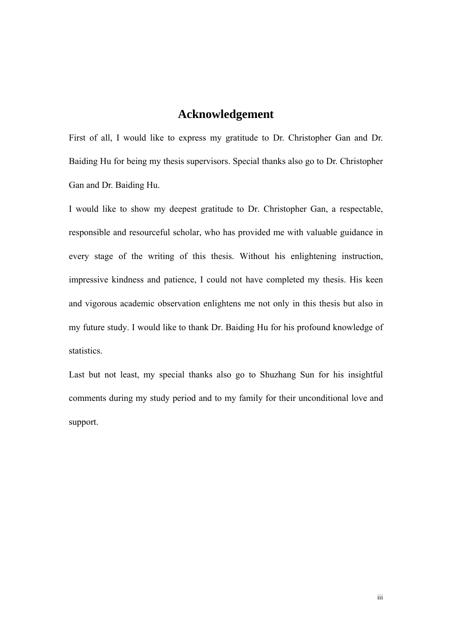### **Acknowledgement**

First of all, I would like to express my gratitude to Dr. Christopher Gan and Dr. Baiding Hu for being my thesis supervisors. Special thanks also go to Dr. Christopher Gan and Dr. Baiding Hu.

I would like to show my deepest gratitude to Dr. Christopher Gan, a respectable, responsible and resourceful scholar, who has provided me with valuable guidance in every stage of the writing of this thesis. Without his enlightening instruction, impressive kindness and patience, I could not have completed my thesis. His keen and vigorous academic observation enlightens me not only in this thesis but also in my future study. I would like to thank Dr. Baiding Hu for his profound knowledge of statistics.

Last but not least, my special thanks also go to Shuzhang Sun for his insightful comments during my study period and to my family for their unconditional love and support.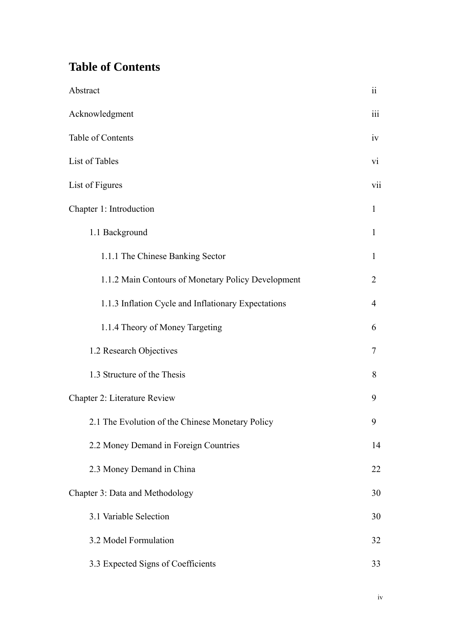## **Table of Contents**

| Abstract                                            | $\ddot{\rm ii}$ |
|-----------------------------------------------------|-----------------|
| Acknowledgment                                      | iii             |
| Table of Contents                                   | iv              |
| List of Tables                                      | $\overline{vi}$ |
| List of Figures                                     |                 |
| Chapter 1: Introduction                             |                 |
| 1.1 Background                                      | $\mathbf{1}$    |
| 1.1.1 The Chinese Banking Sector                    | 1               |
| 1.1.2 Main Contours of Monetary Policy Development  | 2               |
| 1.1.3 Inflation Cycle and Inflationary Expectations | 4               |
| 1.1.4 Theory of Money Targeting                     | 6               |
| 1.2 Research Objectives                             | 7               |
| 1.3 Structure of the Thesis                         | 8               |
| <b>Chapter 2: Literature Review</b>                 |                 |
| 2.1 The Evolution of the Chinese Monetary Policy    | 9               |
| 2.2 Money Demand in Foreign Countries               | 14              |
| 2.3 Money Demand in China                           | 22              |
| Chapter 3: Data and Methodology                     |                 |
| 3.1 Variable Selection                              | 30              |
| 3.2 Model Formulation                               | 32              |
| 3.3 Expected Signs of Coefficients                  | 33              |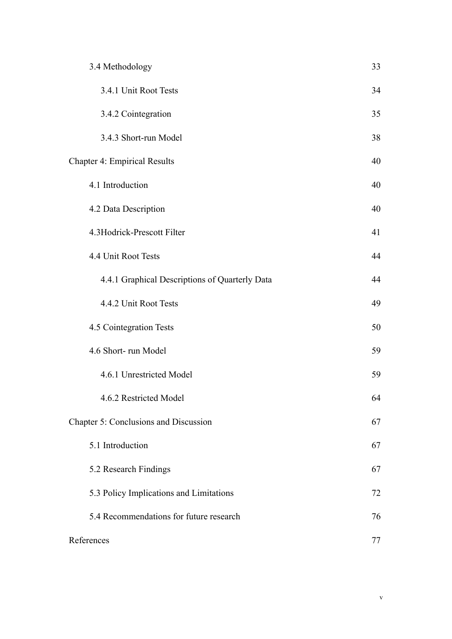| 3.4 Methodology                                | 33 |
|------------------------------------------------|----|
| 3.4.1 Unit Root Tests                          | 34 |
| 3.4.2 Cointegration                            | 35 |
| 3.4.3 Short-run Model                          | 38 |
| <b>Chapter 4: Empirical Results</b>            |    |
| 4.1 Introduction                               | 40 |
| 4.2 Data Description                           | 40 |
| 4.3Hodrick-Prescott Filter                     | 41 |
| 4.4 Unit Root Tests                            | 44 |
| 4.4.1 Graphical Descriptions of Quarterly Data | 44 |
| 4.4.2 Unit Root Tests                          | 49 |
| 4.5 Cointegration Tests                        | 50 |
| 4.6 Short-run Model                            | 59 |
| 4.6.1 Unrestricted Model                       | 59 |
| 4.6.2 Restricted Model                         | 64 |
| Chapter 5: Conclusions and Discussion          | 67 |
| 5.1 Introduction                               | 67 |
| 5.2 Research Findings                          | 67 |
| 5.3 Policy Implications and Limitations        | 72 |
| 5.4 Recommendations for future research        | 76 |
| References                                     | 77 |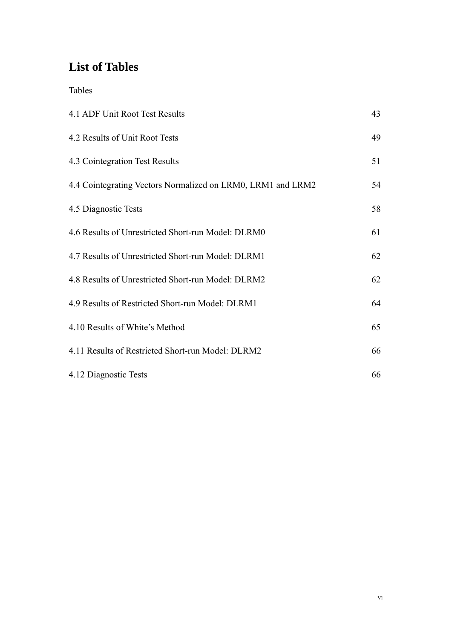## **List of Tables**

Tables

| 4.1 ADF Unit Root Test Results                              | 43 |
|-------------------------------------------------------------|----|
| 4.2 Results of Unit Root Tests                              | 49 |
| 4.3 Cointegration Test Results                              | 51 |
| 4.4 Cointegrating Vectors Normalized on LRM0, LRM1 and LRM2 | 54 |
| 4.5 Diagnostic Tests                                        | 58 |
| 4.6 Results of Unrestricted Short-run Model: DLRM0          | 61 |
| 4.7 Results of Unrestricted Short-run Model: DLRM1          | 62 |
| 4.8 Results of Unrestricted Short-run Model: DLRM2          | 62 |
| 4.9 Results of Restricted Short-run Model: DLRM1            | 64 |
| 4.10 Results of White's Method                              | 65 |
| 4.11 Results of Restricted Short-run Model: DLRM2           | 66 |
| 4.12 Diagnostic Tests                                       | 66 |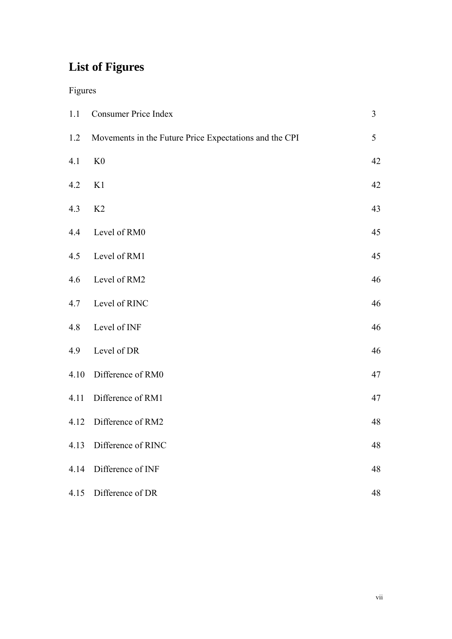# **List of Figures**

### Figures

| 1.1  | <b>Consumer Price Index</b>                            | 3  |
|------|--------------------------------------------------------|----|
| 1.2  | Movements in the Future Price Expectations and the CPI | 5  |
| 4.1  | K <sub>0</sub>                                         | 42 |
| 4.2  | K1                                                     | 42 |
| 4.3  | K2                                                     | 43 |
| 4.4  | Level of RM0                                           | 45 |
| 4.5  | Level of RM1                                           | 45 |
| 4.6  | Level of RM2                                           | 46 |
| 4.7  | Level of RINC                                          | 46 |
| 4.8  | Level of INF                                           | 46 |
| 4.9  | Level of DR                                            | 46 |
| 4.10 | Difference of RM0                                      | 47 |
| 4.11 | Difference of RM1                                      | 47 |
| 4.12 | Difference of RM2                                      | 48 |
| 4.13 | Difference of RINC                                     | 48 |
| 4.14 | Difference of INF                                      | 48 |
| 4.15 | Difference of DR                                       | 48 |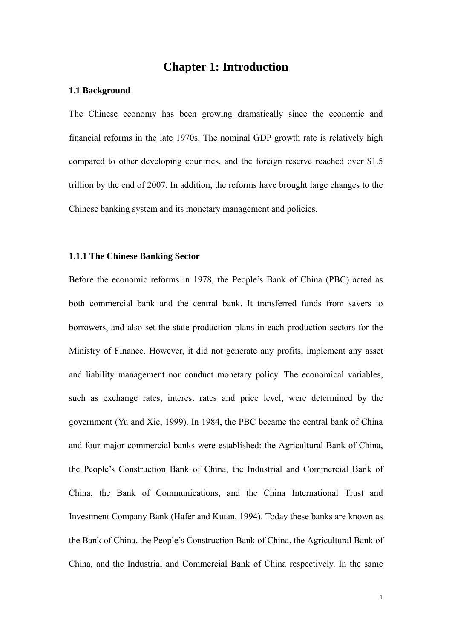### **Chapter 1: Introduction**

#### **1.1 Background**

The Chinese economy has been growing dramatically since the economic and financial reforms in the late 1970s. The nominal GDP growth rate is relatively high compared to other developing countries, and the foreign reserve reached over \$1.5 trillion by the end of 2007. In addition, the reforms have brought large changes to the Chinese banking system and its monetary management and policies.

#### **1.1.1 The Chinese Banking Sector**

Before the economic reforms in 1978, the People's Bank of China (PBC) acted as both commercial bank and the central bank. It transferred funds from savers to borrowers, and also set the state production plans in each production sectors for the Ministry of Finance. However, it did not generate any profits, implement any asset and liability management nor conduct monetary policy. The economical variables, such as exchange rates, interest rates and price level, were determined by the government (Yu and Xie, 1999). In 1984, the PBC became the central bank of China and four major commercial banks were established: the Agricultural Bank of China, the People's Construction Bank of China, the Industrial and Commercial Bank of China, the Bank of Communications, and the China International Trust and Investment Company Bank (Hafer and Kutan, 1994). Today these banks are known as the Bank of China, the People's Construction Bank of China, the Agricultural Bank of China, and the Industrial and Commercial Bank of China respectively. In the same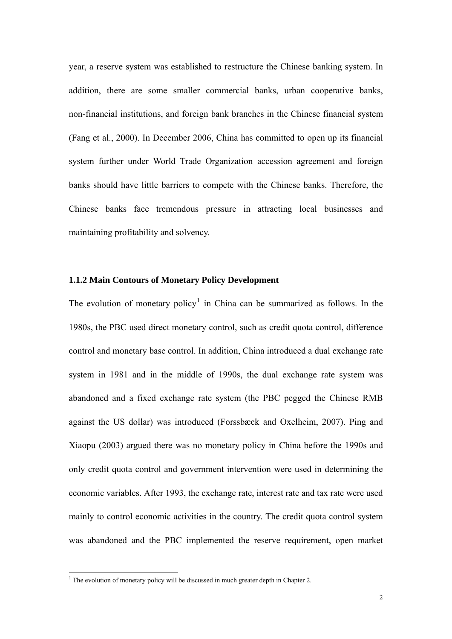year, a reserve system was established to restructure the Chinese banking system. In addition, there are some smaller commercial banks, urban cooperative banks, non-financial institutions, and foreign bank branches in the Chinese financial system (Fang et al., 2000). In December 2006, China has committed to open up its financial system further under World Trade Organization accession agreement and foreign banks should have little barriers to compete with the Chinese banks. Therefore, the Chinese banks face tremendous pressure in attracting local businesses and maintaining profitability and solvency.

#### **1.1.2 Main Contours of Monetary Policy Development**

The evolution of monetary policy<sup>[1](#page-8-0)</sup> in China can be summarized as follows. In the 1980s, the PBC used direct monetary control, such as credit quota control, difference control and monetary base control. In addition, China introduced a dual exchange rate system in 1981 and in the middle of 1990s, the dual exchange rate system was abandoned and a fixed exchange rate system (the PBC pegged the Chinese RMB against the US dollar) was introduced (Forssbæck and Oxelheim, 2007). Ping and Xiaopu (2003) argued there was no monetary policy in China before the 1990s and only credit quota control and government intervention were used in determining the economic variables. After 1993, the exchange rate, interest rate and tax rate were used mainly to control economic activities in the country. The credit quota control system was abandoned and the PBC implemented the reserve requirement, open market

<span id="page-8-0"></span><sup>&</sup>lt;sup>1</sup> The evolution of monetary policy will be discussed in much greater depth in Chapter 2.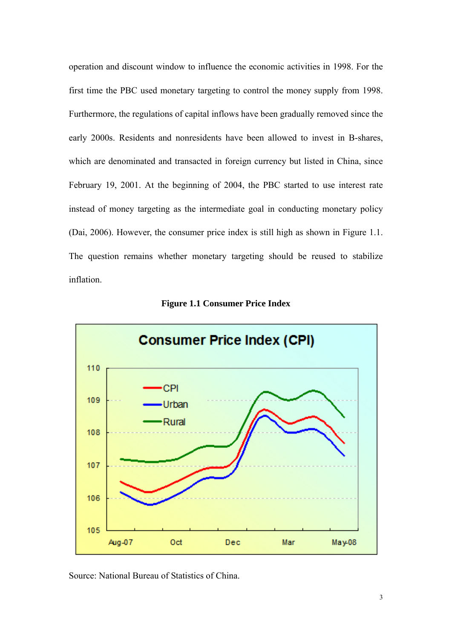operation and discount window to influence the economic activities in 1998. For the first time the PBC used monetary targeting to control the money supply from 1998. Furthermore, the regulations of capital inflows have been gradually removed since the early 2000s. Residents and nonresidents have been allowed to invest in B-shares, which are denominated and transacted in foreign currency but listed in China, since February 19, 2001. At the beginning of 2004, the PBC started to use interest rate instead of money targeting as the intermediate goal in conducting monetary policy (Dai, 2006). However, the consumer price index is still high as shown in Figure 1.1. The question remains whether monetary targeting should be reused to stabilize inflation.



#### **Figure 1.1 Consumer Price Index**

Source: National Bureau of Statistics of China.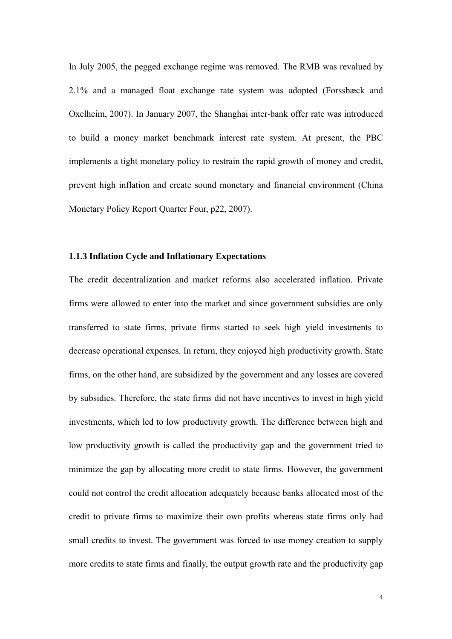In July 2005, the pegged exchange regime was removed. The RMB was revalued by 2.1% and a managed float exchange rate system was adopted (Forssbæck and Oxelheim, 2007). In January 2007, the Shanghai inter-bank offer rate was introduced to build a money market benchmark interest rate system. At present, the PBC implements a tight monetary policy to restrain the rapid growth of money and credit, prevent high inflation and create sound monetary and financial environment (China Monetary Policy Report Quarter Four, p22, 2007).

#### **1.1.3 Inflation Cycle and Inflationary Expectations**

The credit decentralization and market reforms also accelerated inflation. Private firms were allowed to enter into the market and since government subsidies are only transferred to state firms, private firms started to seek high yield investments to decrease operational expenses. In return, they enjoyed high productivity growth. State firms, on the other hand, are subsidized by the government and any losses are covered by subsidies. Therefore, the state firms did not have incentives to invest in high yield investments, which led to low productivity growth. The difference between high and low productivity growth is called the productivity gap and the government tried to minimize the gap by allocating more credit to state firms. However, the government could not control the credit allocation adequately because banks allocated most of the credit to private firms to maximize their own profits whereas state firms only had small credits to invest. The government was forced to use money creation to supply more credits to state firms and finally, the output growth rate and the productivity gap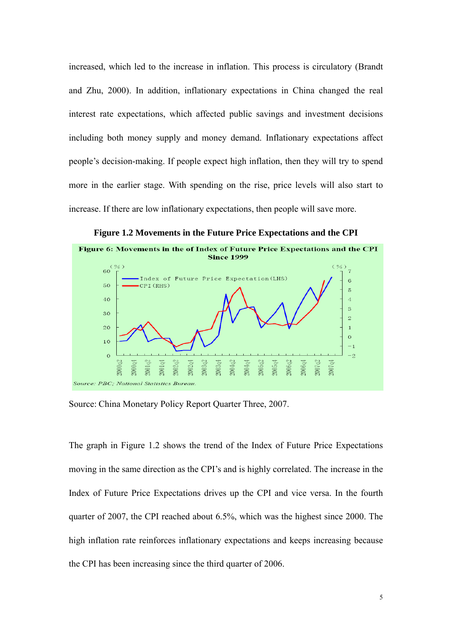increased, which led to the increase in inflation. This process is circulatory (Brandt and Zhu, 2000). In addition, inflationary expectations in China changed the real interest rate expectations, which affected public savings and investment decisions including both money supply and money demand. Inflationary expectations affect people's decision-making. If people expect high inflation, then they will try to spend more in the earlier stage. With spending on the rise, price levels will also start to increase. If there are low inflationary expectations, then people will save more.



**Figure 1.2 Movements in the Future Price Expectations and the CPI** 

Source: China Monetary Policy Report Quarter Three, 2007.

The graph in Figure 1.2 shows the trend of the Index of Future Price Expectations moving in the same direction as the CPI's and is highly correlated. The increase in the Index of Future Price Expectations drives up the CPI and vice versa. In the fourth quarter of 2007, the CPI reached about 6.5%, which was the highest since 2000. The high inflation rate reinforces inflationary expectations and keeps increasing because the CPI has been increasing since the third quarter of 2006.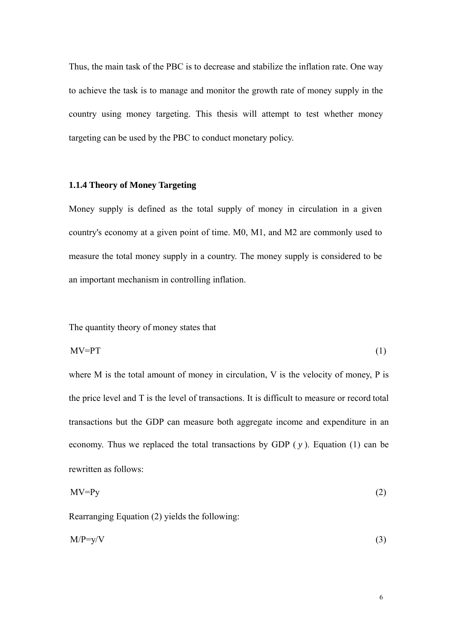Thus, the main task of the PBC is to decrease and stabilize the inflation rate. One way to achieve the task is to manage and monitor the growth rate of money supply in the country using money targeting. This thesis will attempt to test whether money targeting can be used by the PBC to conduct monetary policy.

#### **1.1.4 Theory of Money Targeting**

Money supply is defined as the total supply of money in circulation in a given country's economy at a given point of time. M0, M1, and M2 are commonly used to measure the total money supply in a country. The money supply is considered to be an important mechanism in controlling inflation.

The quantity theory of money states that

$$
MV=PT
$$
 (1)

where M is the total amount of money in circulation, V is the velocity of money, P is the price level and T is the level of transactions. It is difficult to measure or record total transactions but the GDP can measure both aggregate income and expenditure in an economy. Thus we replaced the total transactions by GDP ( *y* ). Equation (1) can be rewritten as follows:

$$
MV=Py
$$
 (2)

Rearranging Equation (2) yields the following:

$$
M/P=y/V \tag{3}
$$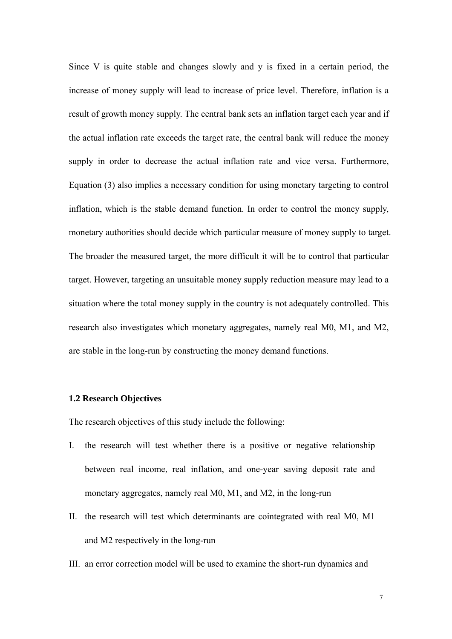Since V is quite stable and changes slowly and y is fixed in a certain period, the increase of money supply will lead to increase of price level. Therefore, inflation is a result of growth money supply. The central bank sets an inflation target each year and if the actual inflation rate exceeds the target rate, the central bank will reduce the money supply in order to decrease the actual inflation rate and vice versa. Furthermore, Equation (3) also implies a necessary condition for using monetary targeting to control inflation, which is the stable demand function. In order to control the money supply, monetary authorities should decide which particular measure of money supply to target. The broader the measured target, the more difficult it will be to control that particular target. However, targeting an unsuitable money supply reduction measure may lead to a situation where the total money supply in the country is not adequately controlled. This research also investigates which monetary aggregates, namely real M0, M1, and M2, are stable in the long-run by constructing the money demand functions.

#### **1.2 Research Objectives**

The research objectives of this study include the following:

- I. the research will test whether there is a positive or negative relationship between real income, real inflation, and one-year saving deposit rate and monetary aggregates, namely real M0, M1, and M2, in the long-run
- II. the research will test which determinants are cointegrated with real M0, M1 and M2 respectively in the long-run
- III. an error correction model will be used to examine the short-run dynamics and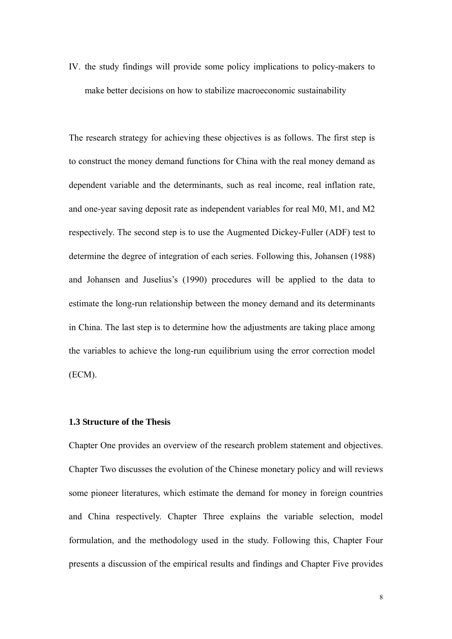IV. the study findings will provide some policy implications to policy-makers to make better decisions on how to stabilize macroeconomic sustainability

The research strategy for achieving these objectives is as follows. The first step is to construct the money demand functions for China with the real money demand as dependent variable and the determinants, such as real income, real inflation rate, and one-year saving deposit rate as independent variables for real M0, M1, and M2 respectively. The second step is to use the Augmented Dickey-Fuller (ADF) test to determine the degree of integration of each series. Following this, Johansen (1988) and Johansen and Juselius's (1990) procedures will be applied to the data to estimate the long-run relationship between the money demand and its determinants in China. The last step is to determine how the adjustments are taking place among the variables to achieve the long-run equilibrium using the error correction model (ECM).

#### **1.3 Structure of the Thesis**

Chapter One provides an overview of the research problem statement and objectives. Chapter Two discusses the evolution of the Chinese monetary policy and will reviews some pioneer literatures, which estimate the demand for money in foreign countries and China respectively. Chapter Three explains the variable selection, model formulation, and the methodology used in the study. Following this, Chapter Four presents a discussion of the empirical results and findings and Chapter Five provides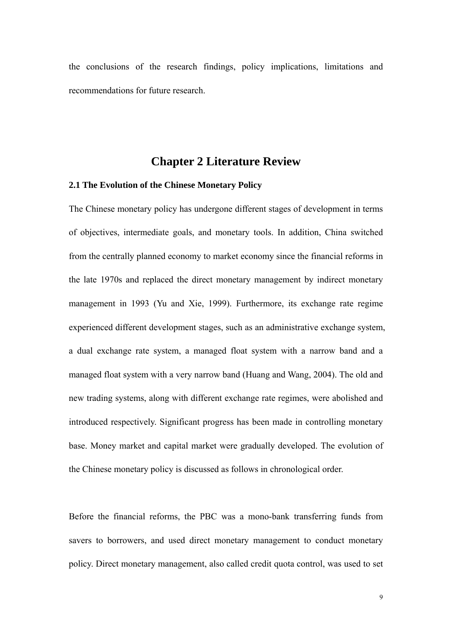the conclusions of the research findings, policy implications, limitations and recommendations for future research.

### **Chapter 2 Literature Review**

#### **2.1 The Evolution of the Chinese Monetary Policy**

The Chinese monetary policy has undergone different stages of development in terms of objectives, intermediate goals, and monetary tools. In addition, China switched from the centrally planned economy to market economy since the financial reforms in the late 1970s and replaced the direct monetary management by indirect monetary management in 1993 (Yu and Xie, 1999). Furthermore, its exchange rate regime experienced different development stages, such as an administrative exchange system, a dual exchange rate system, a managed float system with a narrow band and a managed float system with a very narrow band (Huang and Wang, 2004). The old and new trading systems, along with different exchange rate regimes, were abolished and introduced respectively. Significant progress has been made in controlling monetary base. Money market and capital market were gradually developed. The evolution of the Chinese monetary policy is discussed as follows in chronological order.

Before the financial reforms, the PBC was a mono-bank transferring funds from savers to borrowers, and used direct monetary management to conduct monetary policy. Direct monetary management, also called credit quota control, was used to set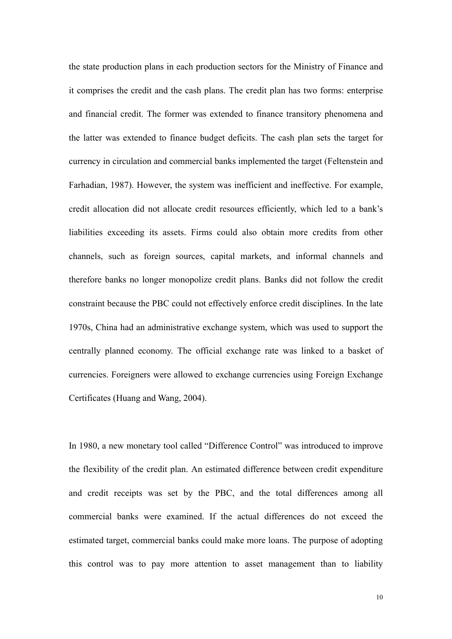the state production plans in each production sectors for the Ministry of Finance and it comprises the credit and the cash plans. The credit plan has two forms: enterprise and financial credit. The former was extended to finance transitory phenomena and the latter was extended to finance budget deficits. The cash plan sets the target for currency in circulation and commercial banks implemented the target (Feltenstein and Farhadian, 1987). However, the system was inefficient and ineffective. For example, credit allocation did not allocate credit resources efficiently, which led to a bank's liabilities exceeding its assets. Firms could also obtain more credits from other channels, such as foreign sources, capital markets, and informal channels and therefore banks no longer monopolize credit plans. Banks did not follow the credit constraint because the PBC could not effectively enforce credit disciplines. In the late 1970s, China had an administrative exchange system, which was used to support the centrally planned economy. The official exchange rate was linked to a basket of currencies. Foreigners were allowed to exchange currencies using Foreign Exchange Certificates (Huang and Wang, 2004).

In 1980, a new monetary tool called "Difference Control" was introduced to improve the flexibility of the credit plan. An estimated difference between credit expenditure and credit receipts was set by the PBC, and the total differences among all commercial banks were examined. If the actual differences do not exceed the estimated target, commercial banks could make more loans. The purpose of adopting this control was to pay more attention to asset management than to liability

10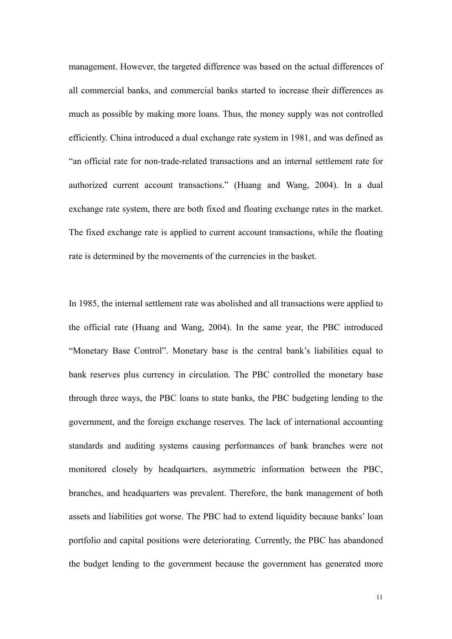management. However, the targeted difference was based on the actual differences of all commercial banks, and commercial banks started to increase their differences as much as possible by making more loans. Thus, the money supply was not controlled efficiently. China introduced a dual exchange rate system in 1981, and was defined as "an official rate for non-trade-related transactions and an internal settlement rate for authorized current account transactions." (Huang and Wang, 2004). In a dual exchange rate system, there are both fixed and floating exchange rates in the market. The fixed exchange rate is applied to current account transactions, while the floating rate is determined by the movements of the currencies in the basket.

In 1985, the internal settlement rate was abolished and all transactions were applied to the official rate (Huang and Wang, 2004). In the same year, the PBC introduced "Monetary Base Control". Monetary base is the central bank's liabilities equal to bank reserves plus currency in circulation. The PBC controlled the monetary base through three ways, the PBC loans to state banks, the PBC budgeting lending to the government, and the foreign exchange reserves. The lack of international accounting standards and auditing systems causing performances of bank branches were not monitored closely by headquarters, asymmetric information between the PBC, branches, and headquarters was prevalent. Therefore, the bank management of both assets and liabilities got worse. The PBC had to extend liquidity because banks' loan portfolio and capital positions were deteriorating. Currently, the PBC has abandoned the budget lending to the government because the government has generated more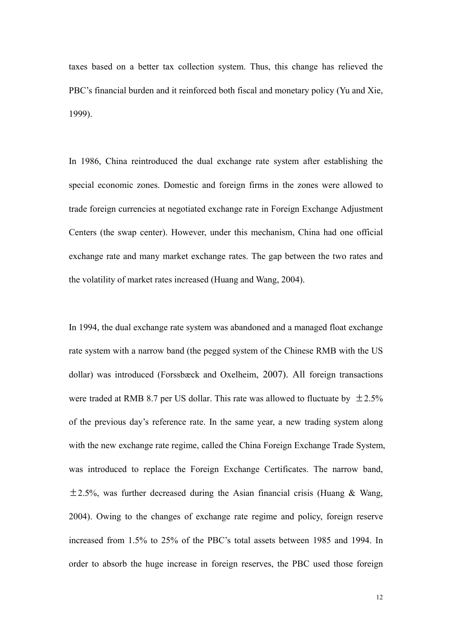taxes based on a better tax collection system. Thus, this change has relieved the PBC's financial burden and it reinforced both fiscal and monetary policy (Yu and Xie, 1999).

In 1986, China reintroduced the dual exchange rate system after establishing the special economic zones. Domestic and foreign firms in the zones were allowed to trade foreign currencies at negotiated exchange rate in Foreign Exchange Adjustment Centers (the swap center). However, under this mechanism, China had one official exchange rate and many market exchange rates. The gap between the two rates and the volatility of market rates increased (Huang and Wang, 2004).

In 1994, the dual exchange rate system was abandoned and a managed float exchange rate system with a narrow band (the pegged system of the Chinese RMB with the US dollar) was introduced (Forssbæck and Oxelheim, 2007). All foreign transactions were traded at RMB 8.7 per US dollar. This rate was allowed to fluctuate by  $\pm 2.5\%$ of the previous day's reference rate. In the same year, a new trading system along with the new exchange rate regime, called the China Foreign Exchange Trade System, was introduced to replace the Foreign Exchange Certificates. The narrow band,  $\pm$  2.5%, was further decreased during the Asian financial crisis (Huang & Wang, 2004). Owing to the changes of exchange rate regime and policy, foreign reserve increased from 1.5% to 25% of the PBC's total assets between 1985 and 1994. In order to absorb the huge increase in foreign reserves, the PBC used those foreign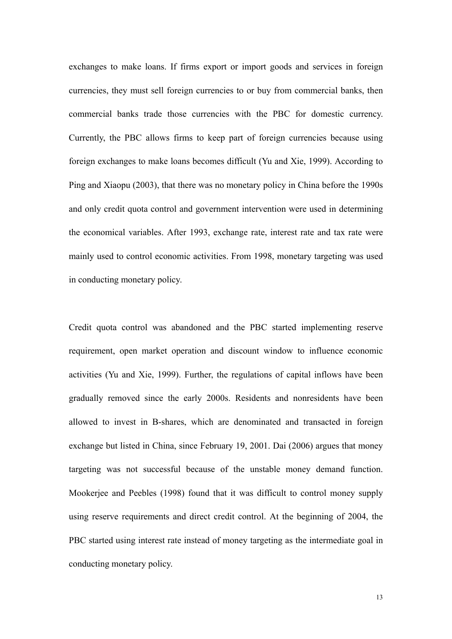exchanges to make loans. If firms export or import goods and services in foreign currencies, they must sell foreign currencies to or buy from commercial banks, then commercial banks trade those currencies with the PBC for domestic currency. Currently, the PBC allows firms to keep part of foreign currencies because using foreign exchanges to make loans becomes difficult (Yu and Xie, 1999). According to Ping and Xiaopu (2003), that there was no monetary policy in China before the 1990s and only credit quota control and government intervention were used in determining the economical variables. After 1993, exchange rate, interest rate and tax rate were mainly used to control economic activities. From 1998, monetary targeting was used in conducting monetary policy.

Credit quota control was abandoned and the PBC started implementing reserve requirement, open market operation and discount window to influence economic activities (Yu and Xie, 1999). Further, the regulations of capital inflows have been gradually removed since the early 2000s. Residents and nonresidents have been allowed to invest in B-shares, which are denominated and transacted in foreign exchange but listed in China, since February 19, 2001. Dai (2006) argues that money targeting was not successful because of the unstable money demand function. Mookerjee and Peebles (1998) found that it was difficult to control money supply using reserve requirements and direct credit control. At the beginning of 2004, the PBC started using interest rate instead of money targeting as the intermediate goal in conducting monetary policy.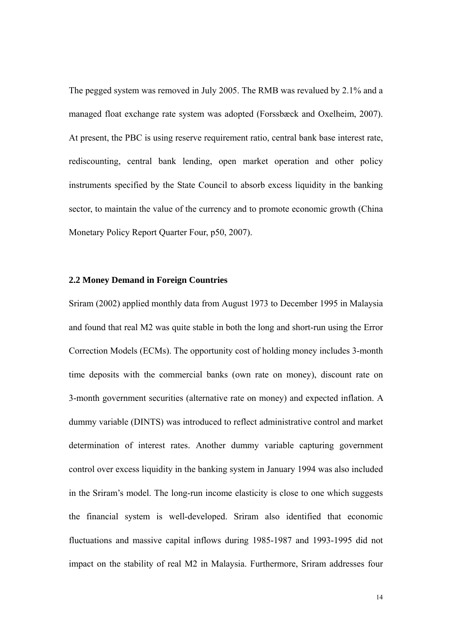The pegged system was removed in July 2005. The RMB was revalued by 2.1% and a managed float exchange rate system was adopted (Forssbæck and Oxelheim, 2007). At present, the PBC is using reserve requirement ratio, central bank base interest rate, rediscounting, central bank lending, open market operation and other policy instruments specified by the State Council to absorb excess liquidity in the banking sector, to maintain the value of the currency and to promote economic growth (China Monetary Policy Report Quarter Four, p50, 2007).

#### **2.2 Money Demand in Foreign Countries**

Sriram (2002) applied monthly data from August 1973 to December 1995 in Malaysia and found that real M2 was quite stable in both the long and short-run using the Error Correction Models (ECMs). The opportunity cost of holding money includes 3-month time deposits with the commercial banks (own rate on money), discount rate on 3-month government securities (alternative rate on money) and expected inflation. A dummy variable (DINTS) was introduced to reflect administrative control and market determination of interest rates. Another dummy variable capturing government control over excess liquidity in the banking system in January 1994 was also included in the Sriram's model. The long-run income elasticity is close to one which suggests the financial system is well-developed. Sriram also identified that economic fluctuations and massive capital inflows during 1985-1987 and 1993-1995 did not impact on the stability of real M2 in Malaysia. Furthermore, Sriram addresses four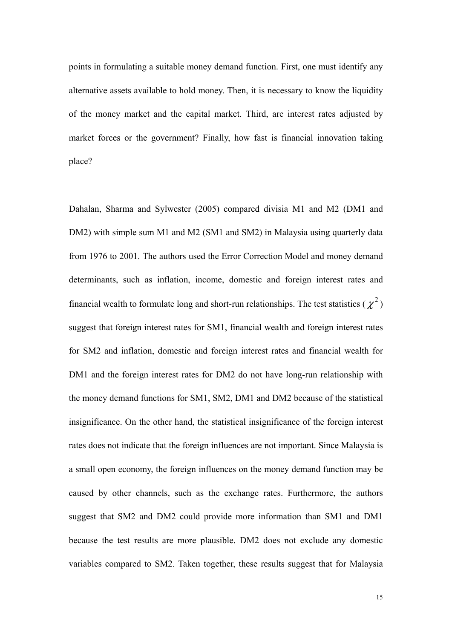points in formulating a suitable money demand function. First, one must identify any alternative assets available to hold money. Then, it is necessary to know the liquidity of the money market and the capital market. Third, are interest rates adjusted by market forces or the government? Finally, how fast is financial innovation taking place?

Dahalan, Sharma and Sylwester (2005) compared divisia M1 and M2 (DM1 and DM2) with simple sum M1 and M2 (SM1 and SM2) in Malaysia using quarterly data from 1976 to 2001. The authors used the Error Correction Model and money demand determinants, such as inflation, income, domestic and foreign interest rates and financial wealth to formulate long and short-run relationships. The test statistics ( $\chi^2$ ) suggest that foreign interest rates for SM1, financial wealth and foreign interest rates for SM2 and inflation, domestic and foreign interest rates and financial wealth for DM1 and the foreign interest rates for DM2 do not have long-run relationship with the money demand functions for SM1, SM2, DM1 and DM2 because of the statistical insignificance. On the other hand, the statistical insignificance of the foreign interest rates does not indicate that the foreign influences are not important. Since Malaysia is a small open economy, the foreign influences on the money demand function may be caused by other channels, such as the exchange rates. Furthermore, the authors suggest that SM2 and DM2 could provide more information than SM1 and DM1 because the test results are more plausible. DM2 does not exclude any domestic variables compared to SM2. Taken together, these results suggest that for Malaysia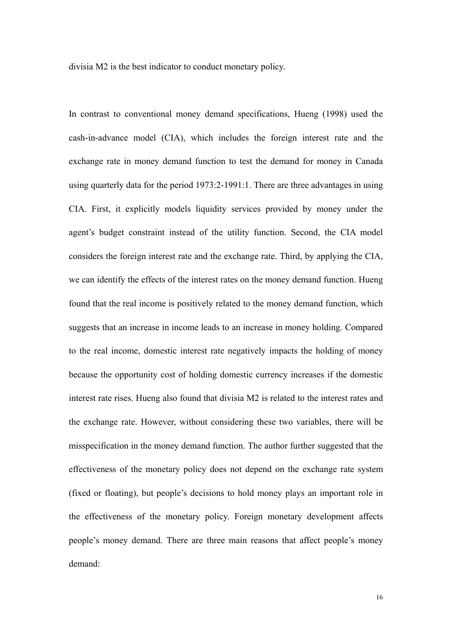divisia M2 is the best indicator to conduct monetary policy.

In contrast to conventional money demand specifications, Hueng (1998) used the cash-in-advance model (CIA), which includes the foreign interest rate and the exchange rate in money demand function to test the demand for money in Canada using quarterly data for the period 1973:2-1991:1. There are three advantages in using CIA. First, it explicitly models liquidity services provided by money under the agent's budget constraint instead of the utility function. Second, the CIA model considers the foreign interest rate and the exchange rate. Third, by applying the CIA, we can identify the effects of the interest rates on the money demand function. Hueng found that the real income is positively related to the money demand function, which suggests that an increase in income leads to an increase in money holding. Compared to the real income, domestic interest rate negatively impacts the holding of money because the opportunity cost of holding domestic currency increases if the domestic interest rate rises. Hueng also found that divisia M2 is related to the interest rates and the exchange rate. However, without considering these two variables, there will be misspecification in the money demand function. The author further suggested that the effectiveness of the monetary policy does not depend on the exchange rate system (fixed or floating), but people's decisions to hold money plays an important role in the effectiveness of the monetary policy. Foreign monetary development affects people's money demand. There are three main reasons that affect people's money demand: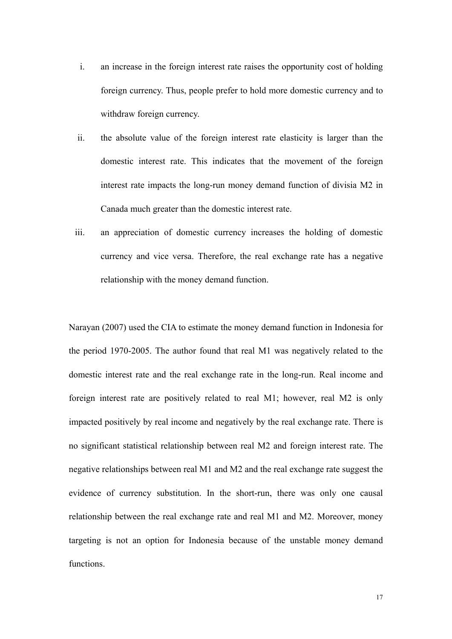- i. an increase in the foreign interest rate raises the opportunity cost of holding foreign currency. Thus, people prefer to hold more domestic currency and to withdraw foreign currency.
- ii. the absolute value of the foreign interest rate elasticity is larger than the domestic interest rate. This indicates that the movement of the foreign interest rate impacts the long-run money demand function of divisia M2 in Canada much greater than the domestic interest rate.
- iii. an appreciation of domestic currency increases the holding of domestic currency and vice versa. Therefore, the real exchange rate has a negative relationship with the money demand function.

Narayan (2007) used the CIA to estimate the money demand function in Indonesia for the period 1970-2005. The author found that real M1 was negatively related to the domestic interest rate and the real exchange rate in the long-run. Real income and foreign interest rate are positively related to real M1; however, real M2 is only impacted positively by real income and negatively by the real exchange rate. There is no significant statistical relationship between real M2 and foreign interest rate. The negative relationships between real M1 and M2 and the real exchange rate suggest the evidence of currency substitution. In the short-run, there was only one causal relationship between the real exchange rate and real M1 and M2. Moreover, money targeting is not an option for Indonesia because of the unstable money demand functions.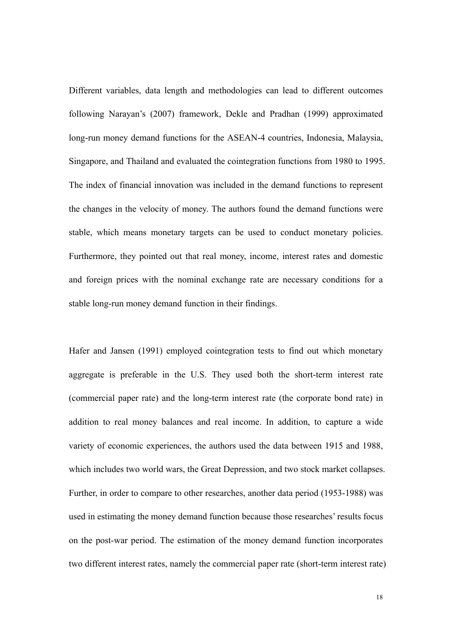Different variables, data length and methodologies can lead to different outcomes following Narayan's (2007) framework, Dekle and Pradhan (1999) approximated long-run money demand functions for the ASEAN-4 countries, Indonesia, Malaysia, Singapore, and Thailand and evaluated the cointegration functions from 1980 to 1995. The index of financial innovation was included in the demand functions to represent the changes in the velocity of money. The authors found the demand functions were stable, which means monetary targets can be used to conduct monetary policies. Furthermore, they pointed out that real money, income, interest rates and domestic and foreign prices with the nominal exchange rate are necessary conditions for a stable long-run money demand function in their findings.

Hafer and Jansen (1991) employed cointegration tests to find out which monetary aggregate is preferable in the U.S. They used both the short-term interest rate (commercial paper rate) and the long-term interest rate (the corporate bond rate) in addition to real money balances and real income. In addition, to capture a wide variety of economic experiences, the authors used the data between 1915 and 1988, which includes two world wars, the Great Depression, and two stock market collapses. Further, in order to compare to other researches, another data period (1953-1988) was used in estimating the money demand function because those researches' results focus on the post-war period. The estimation of the money demand function incorporates two different interest rates, namely the commercial paper rate (short-term interest rate)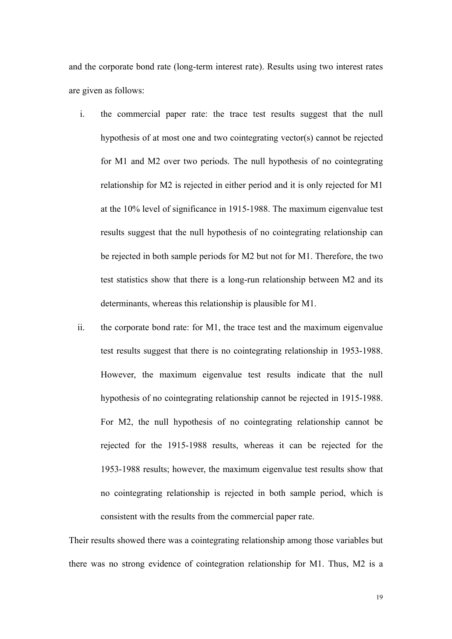and the corporate bond rate (long-term interest rate). Results using two interest rates are given as follows:

- i. the commercial paper rate: the trace test results suggest that the null hypothesis of at most one and two cointegrating vector(s) cannot be rejected for M1 and M2 over two periods. The null hypothesis of no cointegrating relationship for M2 is rejected in either period and it is only rejected for M1 at the 10% level of significance in 1915-1988. The maximum eigenvalue test results suggest that the null hypothesis of no cointegrating relationship can be rejected in both sample periods for M2 but not for M1. Therefore, the two test statistics show that there is a long-run relationship between M2 and its determinants, whereas this relationship is plausible for M1.
- ii. the corporate bond rate: for M1, the trace test and the maximum eigenvalue test results suggest that there is no cointegrating relationship in 1953-1988. However, the maximum eigenvalue test results indicate that the null hypothesis of no cointegrating relationship cannot be rejected in 1915-1988. For M2, the null hypothesis of no cointegrating relationship cannot be rejected for the 1915-1988 results, whereas it can be rejected for the 1953-1988 results; however, the maximum eigenvalue test results show that no cointegrating relationship is rejected in both sample period, which is consistent with the results from the commercial paper rate.

Their results showed there was a cointegrating relationship among those variables but there was no strong evidence of cointegration relationship for M1. Thus, M2 is a

19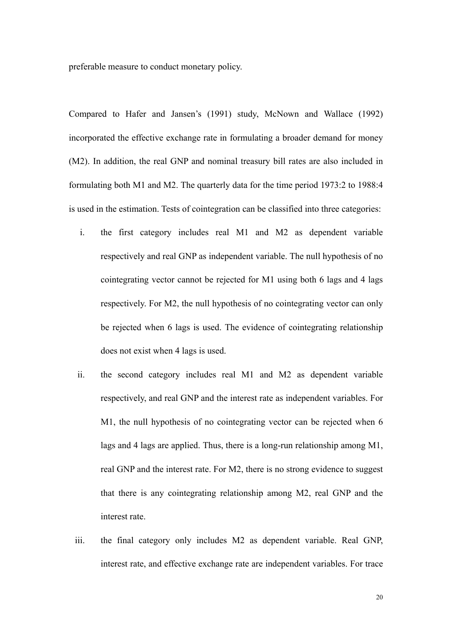preferable measure to conduct monetary policy.

Compared to Hafer and Jansen's (1991) study, McNown and Wallace (1992) incorporated the effective exchange rate in formulating a broader demand for money (M2). In addition, the real GNP and nominal treasury bill rates are also included in formulating both M1 and M2. The quarterly data for the time period 1973:2 to 1988:4 is used in the estimation. Tests of cointegration can be classified into three categories:

- i. the first category includes real M1 and M2 as dependent variable respectively and real GNP as independent variable. The null hypothesis of no cointegrating vector cannot be rejected for M1 using both 6 lags and 4 lags respectively. For M2, the null hypothesis of no cointegrating vector can only be rejected when 6 lags is used. The evidence of cointegrating relationship does not exist when 4 lags is used.
- ii. the second category includes real M1 and M2 as dependent variable respectively, and real GNP and the interest rate as independent variables. For M1, the null hypothesis of no cointegrating vector can be rejected when 6 lags and 4 lags are applied. Thus, there is a long-run relationship among M1, real GNP and the interest rate. For M2, there is no strong evidence to suggest that there is any cointegrating relationship among M2, real GNP and the interest rate.
- iii. the final category only includes M2 as dependent variable. Real GNP, interest rate, and effective exchange rate are independent variables. For trace

20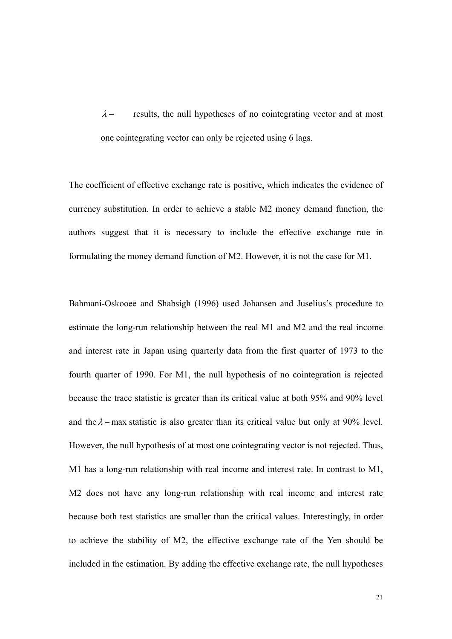$\lambda$  – results, the null hypotheses of no cointegrating vector and at most one cointegrating vector can only be rejected using 6 lags.

The coefficient of effective exchange rate is positive, which indicates the evidence of currency substitution. In order to achieve a stable M2 money demand function, the authors suggest that it is necessary to include the effective exchange rate in formulating the money demand function of M2. However, it is not the case for M1.

Bahmani-Oskooee and Shabsigh (1996) used Johansen and Juselius's procedure to estimate the long-run relationship between the real M1 and M2 and the real income and interest rate in Japan using quarterly data from the first quarter of 1973 to the fourth quarter of 1990. For M1, the null hypothesis of no cointegration is rejected because the trace statistic is greater than its critical value at both 95% and 90% level and the  $\lambda$  – max statistic is also greater than its critical value but only at 90% level. However, the null hypothesis of at most one cointegrating vector is not rejected. Thus, M1 has a long-run relationship with real income and interest rate. In contrast to M1, M2 does not have any long-run relationship with real income and interest rate because both test statistics are smaller than the critical values. Interestingly, in order to achieve the stability of M2, the effective exchange rate of the Yen should be included in the estimation. By adding the effective exchange rate, the null hypotheses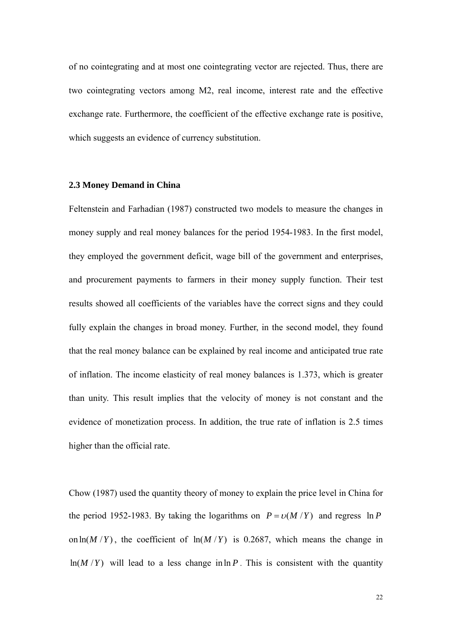of no cointegrating and at most one cointegrating vector are rejected. Thus, there are two cointegrating vectors among M2, real income, interest rate and the effective exchange rate. Furthermore, the coefficient of the effective exchange rate is positive, which suggests an evidence of currency substitution.

#### **2.3 Money Demand in China**

Feltenstein and Farhadian (1987) constructed two models to measure the changes in money supply and real money balances for the period 1954-1983. In the first model, they employed the government deficit, wage bill of the government and enterprises, and procurement payments to farmers in their money supply function. Their test results showed all coefficients of the variables have the correct signs and they could fully explain the changes in broad money. Further, in the second model, they found that the real money balance can be explained by real income and anticipated true rate of inflation. The income elasticity of real money balances is 1.373, which is greater than unity. This result implies that the velocity of money is not constant and the evidence of monetization process. In addition, the true rate of inflation is 2.5 times higher than the official rate.

Chow (1987) used the quantity theory of money to explain the price level in China for the period 1952-1983. By taking the logarithms on  $P = v(M/Y)$  and regress  $\ln P$ on  $\ln(M/Y)$ , the coefficient of  $\ln(M/Y)$  is 0.2687, which means the change in  $ln(M/Y)$  will lead to a less change in ln *P*. This is consistent with the quantity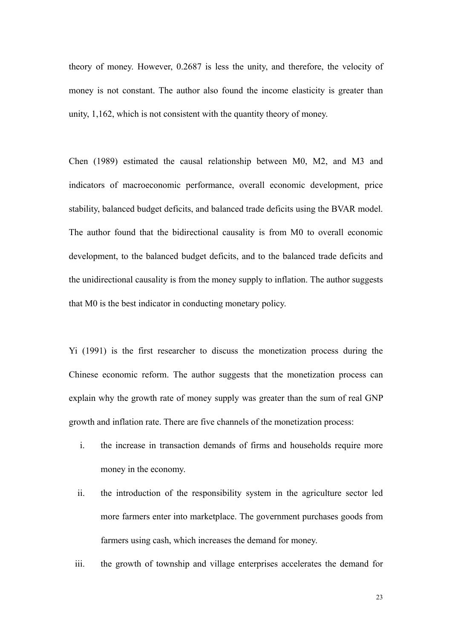theory of money. However, 0.2687 is less the unity, and therefore, the velocity of money is not constant. The author also found the income elasticity is greater than unity, 1,162, which is not consistent with the quantity theory of money.

Chen (1989) estimated the causal relationship between M0, M2, and M3 and indicators of macroeconomic performance, overall economic development, price stability, balanced budget deficits, and balanced trade deficits using the BVAR model. The author found that the bidirectional causality is from M0 to overall economic development, to the balanced budget deficits, and to the balanced trade deficits and the unidirectional causality is from the money supply to inflation. The author suggests that M0 is the best indicator in conducting monetary policy.

Yi (1991) is the first researcher to discuss the monetization process during the Chinese economic reform. The author suggests that the monetization process can explain why the growth rate of money supply was greater than the sum of real GNP growth and inflation rate. There are five channels of the monetization process:

- i. the increase in transaction demands of firms and households require more money in the economy.
- ii. the introduction of the responsibility system in the agriculture sector led more farmers enter into marketplace. The government purchases goods from farmers using cash, which increases the demand for money.
- iii. the growth of township and village enterprises accelerates the demand for

23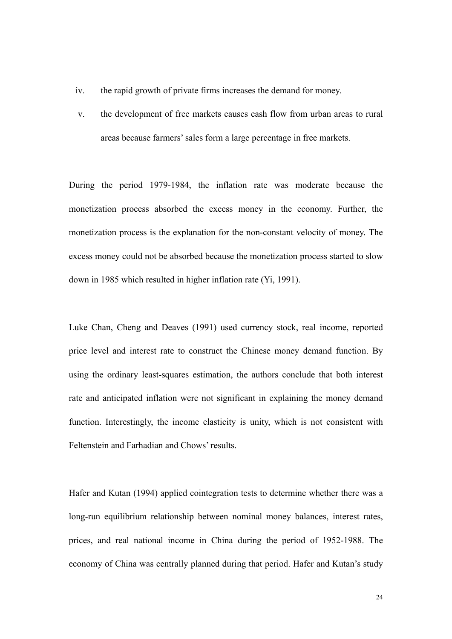- iv. the rapid growth of private firms increases the demand for money.
- v. the development of free markets causes cash flow from urban areas to rural areas because farmers' sales form a large percentage in free markets.

During the period 1979-1984, the inflation rate was moderate because the monetization process absorbed the excess money in the economy. Further, the monetization process is the explanation for the non-constant velocity of money. The excess money could not be absorbed because the monetization process started to slow down in 1985 which resulted in higher inflation rate (Yi, 1991).

Luke Chan, Cheng and Deaves (1991) used currency stock, real income, reported price level and interest rate to construct the Chinese money demand function. By using the ordinary least-squares estimation, the authors conclude that both interest rate and anticipated inflation were not significant in explaining the money demand function. Interestingly, the income elasticity is unity, which is not consistent with Feltenstein and Farhadian and Chows' results.

Hafer and Kutan (1994) applied cointegration tests to determine whether there was a long-run equilibrium relationship between nominal money balances, interest rates, prices, and real national income in China during the period of 1952-1988. The economy of China was centrally planned during that period. Hafer and Kutan's study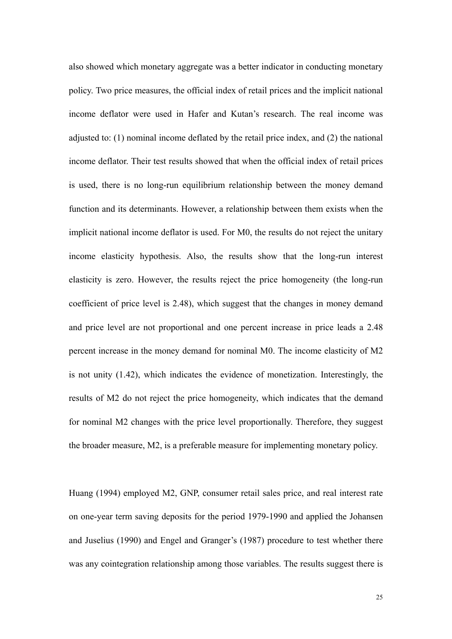also showed which monetary aggregate was a better indicator in conducting monetary policy. Two price measures, the official index of retail prices and the implicit national income deflator were used in Hafer and Kutan's research. The real income was adjusted to: (1) nominal income deflated by the retail price index, and (2) the national income deflator. Their test results showed that when the official index of retail prices is used, there is no long-run equilibrium relationship between the money demand function and its determinants. However, a relationship between them exists when the implicit national income deflator is used. For M0, the results do not reject the unitary income elasticity hypothesis. Also, the results show that the long-run interest elasticity is zero. However, the results reject the price homogeneity (the long-run coefficient of price level is 2.48), which suggest that the changes in money demand and price level are not proportional and one percent increase in price leads a 2.48 percent increase in the money demand for nominal M0. The income elasticity of M2 is not unity (1.42), which indicates the evidence of monetization. Interestingly, the results of M2 do not reject the price homogeneity, which indicates that the demand for nominal M2 changes with the price level proportionally. Therefore, they suggest the broader measure, M2, is a preferable measure for implementing monetary policy.

Huang (1994) employed M2, GNP, consumer retail sales price, and real interest rate on one-year term saving deposits for the period 1979-1990 and applied the Johansen and Juselius (1990) and Engel and Granger's (1987) procedure to test whether there was any cointegration relationship among those variables. The results suggest there is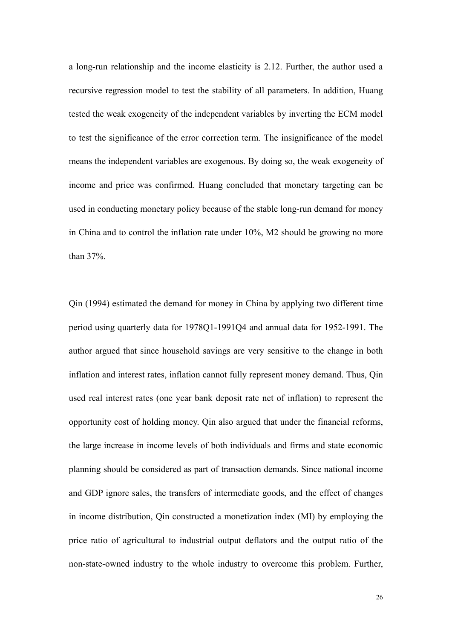a long-run relationship and the income elasticity is 2.12. Further, the author used a recursive regression model to test the stability of all parameters. In addition, Huang tested the weak exogeneity of the independent variables by inverting the ECM model to test the significance of the error correction term. The insignificance of the model means the independent variables are exogenous. By doing so, the weak exogeneity of income and price was confirmed. Huang concluded that monetary targeting can be used in conducting monetary policy because of the stable long-run demand for money in China and to control the inflation rate under 10%, M2 should be growing no more than 37%.

Qin (1994) estimated the demand for money in China by applying two different time period using quarterly data for 1978Q1-1991Q4 and annual data for 1952-1991. The author argued that since household savings are very sensitive to the change in both inflation and interest rates, inflation cannot fully represent money demand. Thus, Qin used real interest rates (one year bank deposit rate net of inflation) to represent the opportunity cost of holding money. Qin also argued that under the financial reforms, the large increase in income levels of both individuals and firms and state economic planning should be considered as part of transaction demands. Since national income and GDP ignore sales, the transfers of intermediate goods, and the effect of changes in income distribution, Qin constructed a monetization index (MI) by employing the price ratio of agricultural to industrial output deflators and the output ratio of the non-state-owned industry to the whole industry to overcome this problem. Further,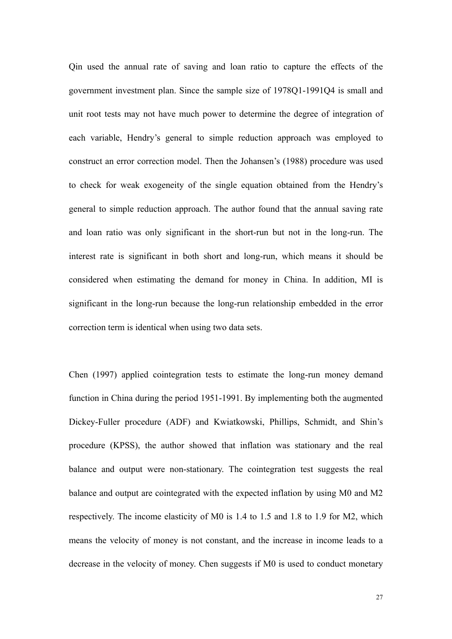Qin used the annual rate of saving and loan ratio to capture the effects of the government investment plan. Since the sample size of 1978Q1-1991Q4 is small and unit root tests may not have much power to determine the degree of integration of each variable, Hendry's general to simple reduction approach was employed to construct an error correction model. Then the Johansen's (1988) procedure was used to check for weak exogeneity of the single equation obtained from the Hendry's general to simple reduction approach. The author found that the annual saving rate and loan ratio was only significant in the short-run but not in the long-run. The interest rate is significant in both short and long-run, which means it should be considered when estimating the demand for money in China. In addition, MI is significant in the long-run because the long-run relationship embedded in the error correction term is identical when using two data sets.

Chen (1997) applied cointegration tests to estimate the long-run money demand function in China during the period 1951-1991. By implementing both the augmented Dickey-Fuller procedure (ADF) and Kwiatkowski, Phillips, Schmidt, and Shin's procedure (KPSS), the author showed that inflation was stationary and the real balance and output were non-stationary. The cointegration test suggests the real balance and output are cointegrated with the expected inflation by using M0 and M2 respectively. The income elasticity of M0 is 1.4 to 1.5 and 1.8 to 1.9 for M2, which means the velocity of money is not constant, and the increase in income leads to a decrease in the velocity of money. Chen suggests if M0 is used to conduct monetary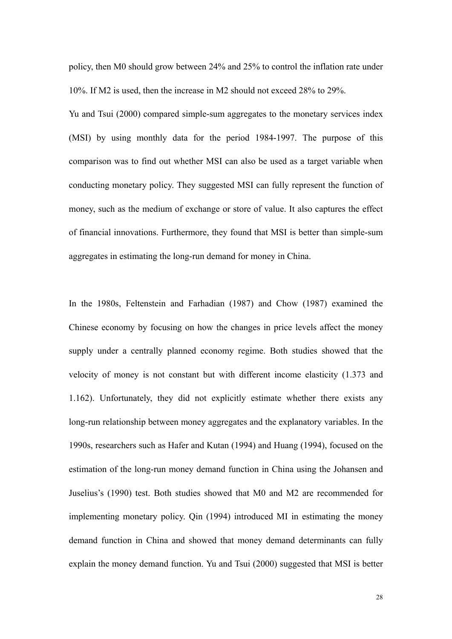policy, then M0 should grow between 24% and 25% to control the inflation rate under 10%. If M2 is used, then the increase in M2 should not exceed 28% to 29%.

Yu and Tsui (2000) compared simple-sum aggregates to the monetary services index (MSI) by using monthly data for the period 1984-1997. The purpose of this comparison was to find out whether MSI can also be used as a target variable when conducting monetary policy. They suggested MSI can fully represent the function of money, such as the medium of exchange or store of value. It also captures the effect of financial innovations. Furthermore, they found that MSI is better than simple-sum aggregates in estimating the long-run demand for money in China.

In the 1980s, Feltenstein and Farhadian (1987) and Chow (1987) examined the Chinese economy by focusing on how the changes in price levels affect the money supply under a centrally planned economy regime. Both studies showed that the velocity of money is not constant but with different income elasticity (1.373 and 1.162). Unfortunately, they did not explicitly estimate whether there exists any long-run relationship between money aggregates and the explanatory variables. In the 1990s, researchers such as Hafer and Kutan (1994) and Huang (1994), focused on the estimation of the long-run money demand function in China using the Johansen and Juselius's (1990) test. Both studies showed that M0 and M2 are recommended for implementing monetary policy. Qin (1994) introduced MI in estimating the money demand function in China and showed that money demand determinants can fully explain the money demand function. Yu and Tsui (2000) suggested that MSI is better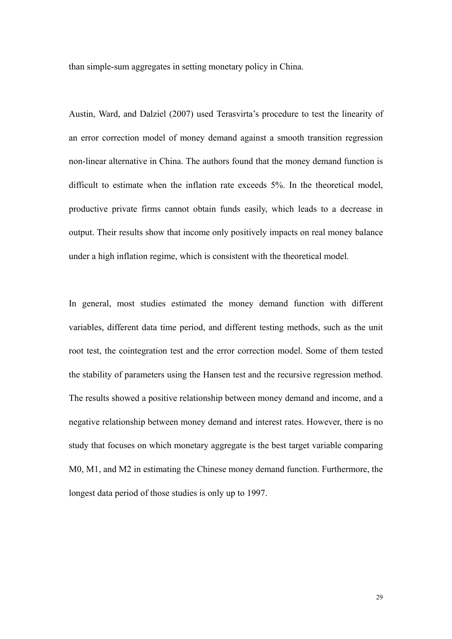than simple-sum aggregates in setting monetary policy in China.

Austin, Ward, and Dalziel (2007) used Terasvirta's procedure to test the linearity of an error correction model of money demand against a smooth transition regression non-linear alternative in China. The authors found that the money demand function is difficult to estimate when the inflation rate exceeds 5%. In the theoretical model, productive private firms cannot obtain funds easily, which leads to a decrease in output. Their results show that income only positively impacts on real money balance under a high inflation regime, which is consistent with the theoretical model.

In general, most studies estimated the money demand function with different variables, different data time period, and different testing methods, such as the unit root test, the cointegration test and the error correction model. Some of them tested the stability of parameters using the Hansen test and the recursive regression method. The results showed a positive relationship between money demand and income, and a negative relationship between money demand and interest rates. However, there is no study that focuses on which monetary aggregate is the best target variable comparing M0, M1, and M2 in estimating the Chinese money demand function. Furthermore, the longest data period of those studies is only up to 1997.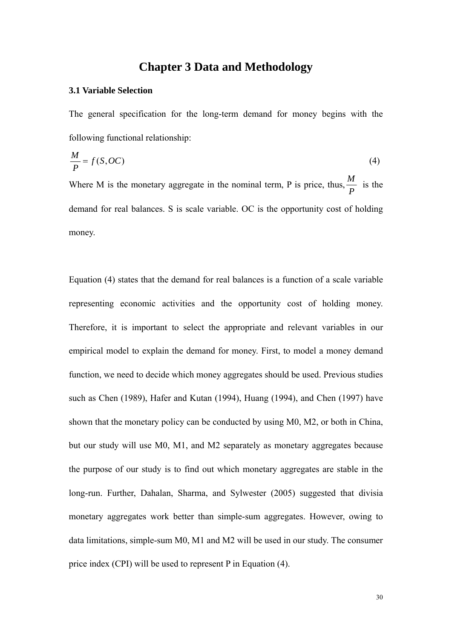# **Chapter 3 Data and Methodology**

## **3.1 Variable Selection**

The general specification for the long-term demand for money begins with the following functional relationship:

$$
\frac{M}{P} = f(S, OC) \tag{4}
$$

Where M is the monetary aggregate in the nominal term, P is price, thus,  $\frac{M}{I}$ *P* is the demand for real balances. S is scale variable. OC is the opportunity cost of holding money.

Equation (4) states that the demand for real balances is a function of a scale variable representing economic activities and the opportunity cost of holding money. Therefore, it is important to select the appropriate and relevant variables in our empirical model to explain the demand for money. First, to model a money demand function, we need to decide which money aggregates should be used. Previous studies such as Chen (1989), Hafer and Kutan (1994), Huang (1994), and Chen (1997) have shown that the monetary policy can be conducted by using M0, M2, or both in China, but our study will use M0, M1, and M2 separately as monetary aggregates because the purpose of our study is to find out which monetary aggregates are stable in the long-run. Further, Dahalan, Sharma, and Sylwester (2005) suggested that divisia monetary aggregates work better than simple-sum aggregates. However, owing to data limitations, simple-sum M0, M1 and M2 will be used in our study. The consumer price index (CPI) will be used to represent P in Equation (4).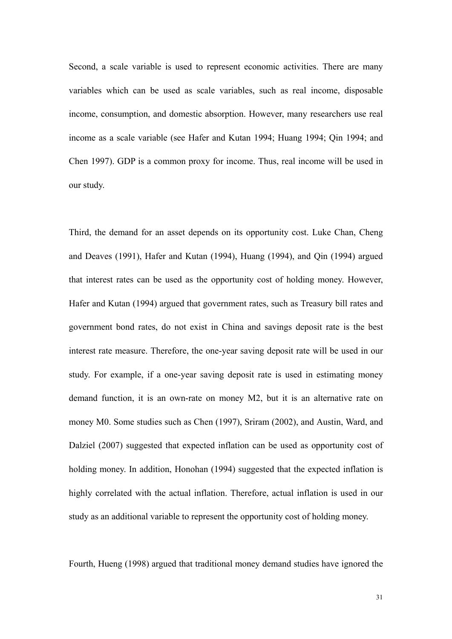Second, a scale variable is used to represent economic activities. There are many variables which can be used as scale variables, such as real income, disposable income, consumption, and domestic absorption. However, many researchers use real income as a scale variable (see Hafer and Kutan 1994; Huang 1994; Qin 1994; and Chen 1997). GDP is a common proxy for income. Thus, real income will be used in our study.

Third, the demand for an asset depends on its opportunity cost. Luke Chan, Cheng and Deaves (1991), Hafer and Kutan (1994), Huang (1994), and Qin (1994) argued that interest rates can be used as the opportunity cost of holding money. However, Hafer and Kutan (1994) argued that government rates, such as Treasury bill rates and government bond rates, do not exist in China and savings deposit rate is the best interest rate measure. Therefore, the one-year saving deposit rate will be used in our study. For example, if a one-year saving deposit rate is used in estimating money demand function, it is an own-rate on money M2, but it is an alternative rate on money M0. Some studies such as Chen (1997), Sriram (2002), and Austin, Ward, and Dalziel (2007) suggested that expected inflation can be used as opportunity cost of holding money. In addition, Honohan (1994) suggested that the expected inflation is highly correlated with the actual inflation. Therefore, actual inflation is used in our study as an additional variable to represent the opportunity cost of holding money.

Fourth, Hueng (1998) argued that traditional money demand studies have ignored the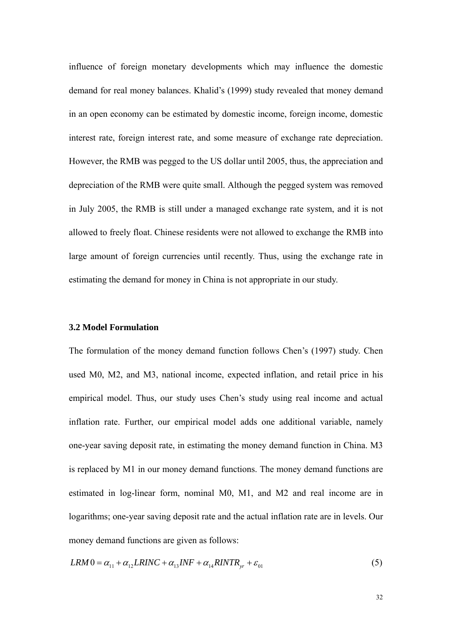influence of foreign monetary developments which may influence the domestic demand for real money balances. Khalid's (1999) study revealed that money demand in an open economy can be estimated by domestic income, foreign income, domestic interest rate, foreign interest rate, and some measure of exchange rate depreciation. However, the RMB was pegged to the US dollar until 2005, thus, the appreciation and depreciation of the RMB were quite small. Although the pegged system was removed in July 2005, the RMB is still under a managed exchange rate system, and it is not allowed to freely float. Chinese residents were not allowed to exchange the RMB into large amount of foreign currencies until recently. Thus, using the exchange rate in estimating the demand for money in China is not appropriate in our study.

# **3.2 Model Formulation**

The formulation of the money demand function follows Chen's (1997) study. Chen used M0, M2, and M3, national income, expected inflation, and retail price in his empirical model. Thus, our study uses Chen's study using real income and actual inflation rate. Further, our empirical model adds one additional variable, namely one-year saving deposit rate, in estimating the money demand function in China. M3 is replaced by M1 in our money demand functions. The money demand functions are estimated in log-linear form, nominal M0, M1, and M2 and real income are in logarithms; one-year saving deposit rate and the actual inflation rate are in levels. Our money demand functions are given as follows:

$$
LRM0 = \alpha_{11} + \alpha_{12}LRINC + \alpha_{13}INF + \alpha_{14} RINTR_{yr} + \varepsilon_{01}
$$
\n
$$
\tag{5}
$$

32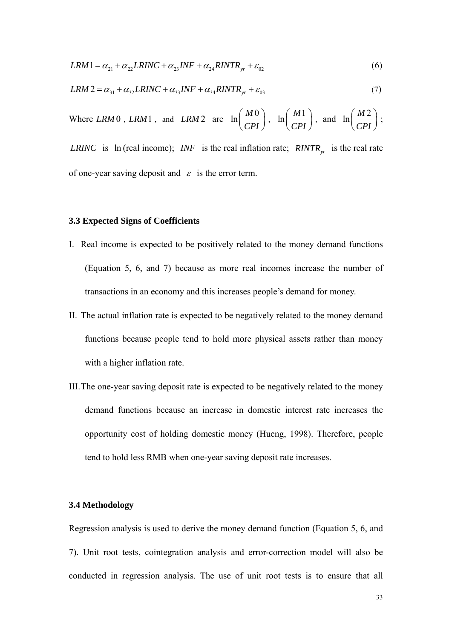$$
LRM1 = \alpha_{21} + \alpha_{22} LRINC + \alpha_{23} INF + \alpha_{24} RINTR_{yr} + \varepsilon_{02}
$$
\n(6)

$$
LRM2 = \alpha_{31} + \alpha_{32}LRINC + \alpha_{33}INF + \alpha_{34} RINTR_{yr} + \varepsilon_{03}
$$
\n(7)

Where *LRM* 0, *LRM* 1, and *LRM* 2 are  $\ln \left( \frac{M0}{R} \right)$  $\left(\frac{M0}{CPI}\right)$ ,  $\ln\left(\frac{M1}{CPI}\right)$ ſ  $\left(\overline{\text{CPI}}\right)$ ), and  $\ln \left( \frac{M2}{CPI} \right)$ ;

*LRINC* is ln (real income); *INF* is the real inflation rate; *RINTR*<sub>yr</sub> is the real rate of one-year saving deposit and  $\varepsilon$  is the error term.

# **3.3 Expected Signs of Coefficients**

- I. Real income is expected to be positively related to the money demand functions (Equation 5, 6, and 7) because as more real incomes increase the number of transactions in an economy and this increases people's demand for money.
- II. The actual inflation rate is expected to be negatively related to the money demand functions because people tend to hold more physical assets rather than money with a higher inflation rate.
- III.The one-year saving deposit rate is expected to be negatively related to the money demand functions because an increase in domestic interest rate increases the opportunity cost of holding domestic money (Hueng, 1998). Therefore, people tend to hold less RMB when one-year saving deposit rate increases.

### **3.4 Methodology**

Regression analysis is used to derive the money demand function (Equation 5, 6, and 7). Unit root tests, cointegration analysis and error-correction model will also be conducted in regression analysis. The use of unit root tests is to ensure that all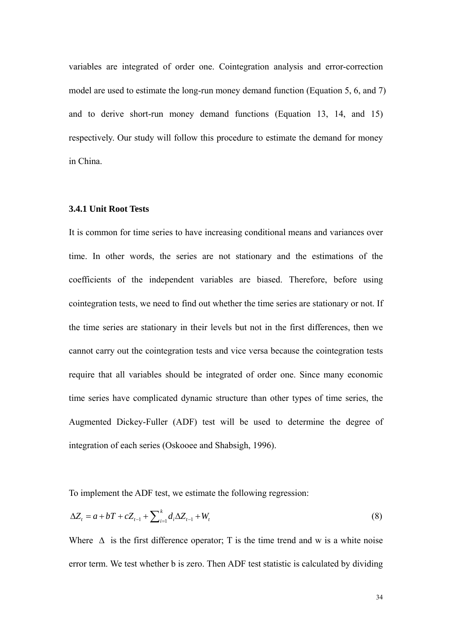variables are integrated of order one. Cointegration analysis and error-correction model are used to estimate the long-run money demand function (Equation 5, 6, and 7) and to derive short-run money demand functions (Equation 13, 14, and 15) respectively. Our study will follow this procedure to estimate the demand for money in China.

## **3.4.1 Unit Root Tests**

It is common for time series to have increasing conditional means and variances over time. In other words, the series are not stationary and the estimations of the coefficients of the independent variables are biased. Therefore, before using cointegration tests, we need to find out whether the time series are stationary or not. If the time series are stationary in their levels but not in the first differences, then we cannot carry out the cointegration tests and vice versa because the cointegration tests require that all variables should be integrated of order one. Since many economic time series have complicated dynamic structure than other types of time series, the Augmented Dickey-Fuller (ADF) test will be used to determine the degree of integration of each series (Oskooee and Shabsigh, 1996).

To implement the ADF test, we estimate the following regression:

$$
\Delta Z_{t} = a + bT + cZ_{t-1} + \sum_{i=1}^{k} d_{i} \Delta Z_{t-1} + W_{t}
$$
\n(8)

Where  $\Delta$  is the first difference operator; T is the time trend and w is a white noise error term. We test whether b is zero. Then ADF test statistic is calculated by dividing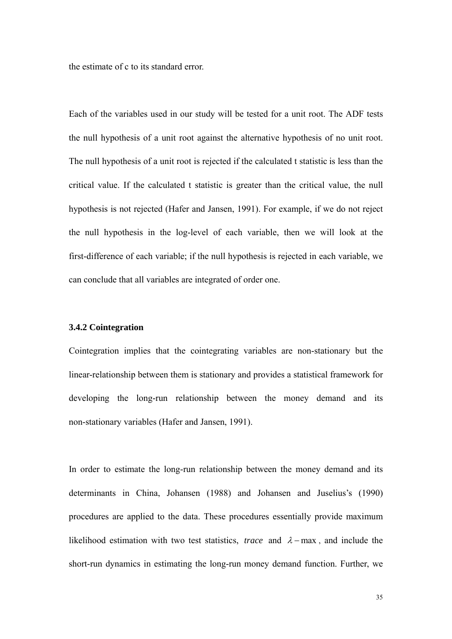the estimate of c to its standard error.

Each of the variables used in our study will be tested for a unit root. The ADF tests the null hypothesis of a unit root against the alternative hypothesis of no unit root. The null hypothesis of a unit root is rejected if the calculated t statistic is less than the critical value. If the calculated t statistic is greater than the critical value, the null hypothesis is not rejected (Hafer and Jansen, 1991). For example, if we do not reject the null hypothesis in the log-level of each variable, then we will look at the first-difference of each variable; if the null hypothesis is rejected in each variable, we can conclude that all variables are integrated of order one.

#### **3.4.2 Cointegration**

Cointegration implies that the cointegrating variables are non-stationary but the linear-relationship between them is stationary and provides a statistical framework for developing the long-run relationship between the money demand and its non-stationary variables (Hafer and Jansen, 1991).

In order to estimate the long-run relationship between the money demand and its determinants in China, Johansen (1988) and Johansen and Juselius's (1990) procedures are applied to the data. These procedures essentially provide maximum likelihood estimation with two test statistics, *trace* and  $\lambda$ -max, and include the short-run dynamics in estimating the long-run money demand function. Further, we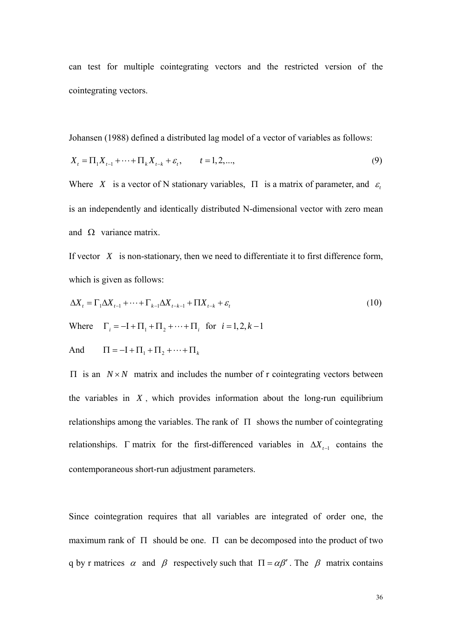can test for multiple cointegrating vectors and the restricted version of the cointegrating vectors.

Johansen (1988) defined a distributed lag model of a vector of variables as follows:

$$
X_{t} = \Pi_{1} X_{t-1} + \dots + \Pi_{k} X_{t-k} + \varepsilon_{t}, \qquad t = 1, 2, \dots,
$$
\n(9)

Where *X* is a vector of N stationary variables,  $\Pi$  is a matrix of parameter, and  $\varepsilon$ , is an independently and identically distributed N-dimensional vector with zero mean and  $\Omega$  variance matrix.

If vector *X* is non-stationary, then we need to differentiate it to first difference form, which is given as follows:

$$
\Delta X_t = \Gamma_1 \Delta X_{t-1} + \dots + \Gamma_{k-1} \Delta X_{t-k-1} + \Pi X_{t-k} + \varepsilon_t
$$
\n(10)

Where  $\Gamma_i = -I + \Pi_1 + \Pi_2 + \cdots + \Pi_i$  for  $i = 1, 2, k - 1$ 

And 
$$
\Pi = -\mathbf{I} + \Pi_1 + \Pi_2 + \dots + \Pi_k
$$

 $\Pi$  is an  $N \times N$  matrix and includes the number of r cointegrating vectors between the variables in  $X$ , which provides information about the long-run equilibrium relationships among the variables. The rank of  $\Pi$  shows the number of cointegrating relationships.  $\Gamma$  matrix for the first-differenced variables in  $\Delta X$ <sub>t-1</sub> contains the contemporaneous short-run adjustment parameters.

Since cointegration requires that all variables are integrated of order one, the maximum rank of  $\Pi$  should be one.  $\Pi$  can be decomposed into the product of two q by r matrices  $\alpha$  and  $\beta$  respectively such that  $\Pi = \alpha \beta'$ . The  $\beta$  matrix contains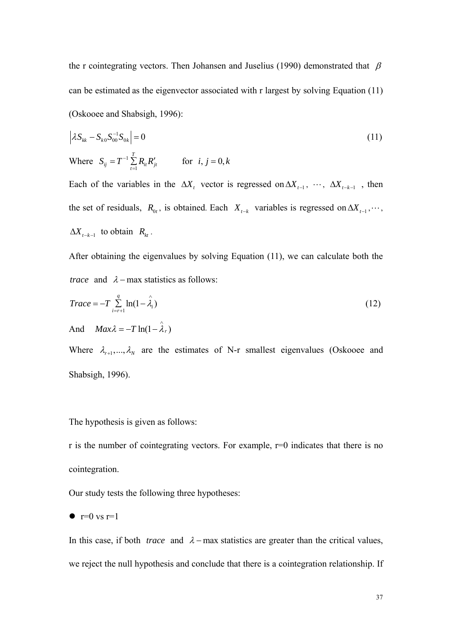the r cointegrating vectors. Then Johansen and Juselius (1990) demonstrated that  $\beta$ can be estimated as the eigenvector associated with r largest by solving Equation (11) (Oskooee and Shabsigh, 1996):

$$
\left| \lambda S_{kk} - S_{k0} S_{00}^{-1} S_{0k} \right| = 0
$$
\nWhere  $S_{ij} = T^{-1} \sum_{t=1}^{T} R_{it} R'_{jt}$  for  $i, j = 0, k$ 

Each of the variables in the  $\Delta X_t$  vector is regressed on  $\Delta X_{t-1}$ ,  $\cdots$ ,  $\Delta X_{t-k-1}$ , then the set of residuals,  $R_{0t}$ , is obtained. Each  $X_{t-k}$  variables is regressed on  $\Delta X_{t-1}$ ,  $\cdots$ ,  $\Delta X_{t-k-1}$  to obtain  $R_{kt}$ .

After obtaining the eigenvalues by solving Equation (11), we can calculate both the *trace* and  $\lambda$  – max statistics as follows:

$$
Trace = -T \sum_{i=r+1}^{q} \ln(1-\hat{\lambda}_i)
$$
  
And 
$$
Max\lambda = -T \ln(1-\hat{\lambda}_r)
$$
 (12)

Where  $\lambda_{r+1},...,\lambda_N$  are the estimates of N-r smallest eigenvalues (Oskooee and Shabsigh, 1996).

The hypothesis is given as follows:

r is the number of cointegrating vectors. For example,  $r=0$  indicates that there is no cointegration.

Our study tests the following three hypotheses:

$$
\bullet \ \mathbf{r} = 0 \ \mathbf{vs} \ \mathbf{r} = 1
$$

In this case, if both *trace* and  $\lambda$ -max statistics are greater than the critical values, we reject the null hypothesis and conclude that there is a cointegration relationship. If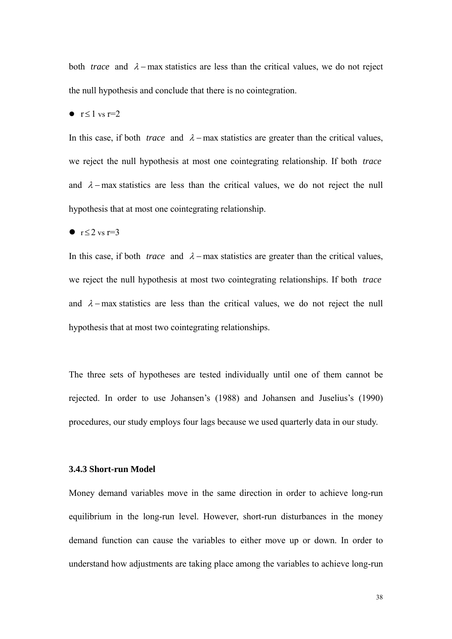both *trace* and  $\lambda$ -max statistics are less than the critical values, we do not reject the null hypothesis and conclude that there is no cointegration.

# •  $r \le 1$  vs  $r=2$

In this case, if both *trace* and  $\lambda$  – max statistics are greater than the critical values, we reject the null hypothesis at most one cointegrating relationship. If both *trace* and  $\lambda$ -max statistics are less than the critical values, we do not reject the null hypothesis that at most one cointegrating relationship.

#### •  $r \leq 2$  vs  $r=3$

In this case, if both *trace* and  $\lambda$ -max statistics are greater than the critical values, we reject the null hypothesis at most two cointegrating relationships. If both *trace* and  $\lambda$ -max statistics are less than the critical values, we do not reject the null hypothesis that at most two cointegrating relationships.

The three sets of hypotheses are tested individually until one of them cannot be rejected. In order to use Johansen's (1988) and Johansen and Juselius's (1990) procedures, our study employs four lags because we used quarterly data in our study.

## **3.4.3 Short-run Model**

Money demand variables move in the same direction in order to achieve long-run equilibrium in the long-run level. However, short-run disturbances in the money demand function can cause the variables to either move up or down. In order to understand how adjustments are taking place among the variables to achieve long-run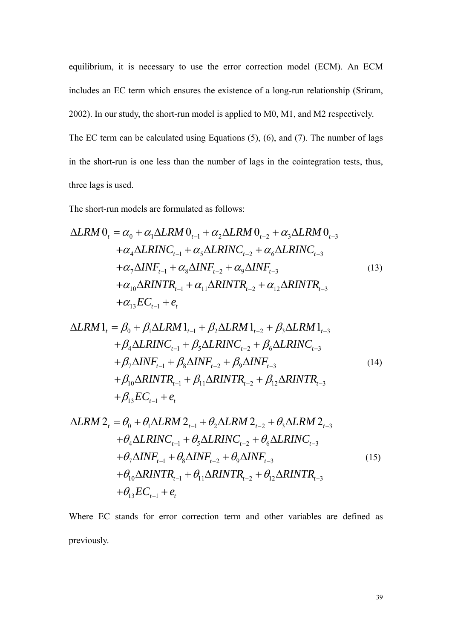equilibrium, it is necessary to use the error correction model (ECM). An ECM includes an EC term which ensures the existence of a long-run relationship (Sriram, 2002). In our study, the short-run model is applied to M0, M1, and M2 respectively. The EC term can be calculated using Equations (5), (6), and (7). The number of lags in the short-run is one less than the number of lags in the cointegration tests, thus, three lags is used.

The short-run models are formulated as follows:

$$
\Delta LRM O_{t} = \alpha_{0} + \alpha_{1} \Delta LRM O_{t-1} + \alpha_{2} \Delta LRM O_{t-2} + \alpha_{3} \Delta LRM O_{t-3} \n+ \alpha_{4} \Delta LRINC_{t-1} + \alpha_{5} \Delta LRINC_{t-2} + \alpha_{6} \Delta LRINC_{t-3} \n+ \alpha_{7} \Delta INF_{t-1} + \alpha_{8} \Delta INF_{t-2} + \alpha_{9} \Delta INF_{t-3} \n+ \alpha_{10} \Delta RINTR_{t-1} + \alpha_{11} \Delta RINTR_{t-2} + \alpha_{12} \Delta RINTR_{t-3} \n+ \alpha_{13} EC_{t-1} + e_{t}
$$
\n(13)

$$
\Delta LRM1_{t} = \beta_{0} + \beta_{1} \Delta LRM1_{t-1} + \beta_{2} \Delta LRM1_{t-2} + \beta_{3} \Delta LRM1_{t-3} + \beta_{4} \Delta LRINC_{t-1} + \beta_{5} \Delta LRINC_{t-2} + \beta_{6} \Delta LRINC_{t-3} + \beta_{7} \Delta INF_{t-1} + \beta_{8} \Delta INF_{t-2} + \beta_{9} \Delta INF_{t-3} + \beta_{10} \Delta RINTR_{t-1} + \beta_{11} \Delta RINTR_{t-2} + \beta_{12} \Delta RINTR_{t-3} + \beta_{13} EC_{t-1} + e_{t}
$$
\n(14)

$$
\Delta LRM 2_{t} = \theta_{0} + \theta_{1} \Delta LRM 2_{t-1} + \theta_{2} \Delta LRM 2_{t-2} + \theta_{3} \Delta LRM 2_{t-3} + \theta_{4} \Delta LRINC_{t-1} + \theta_{5} \Delta LRINC_{t-2} + \theta_{6} \Delta LRINC_{t-3} + \theta_{7} \Delta INF_{t-1} + \theta_{8} \Delta INF_{t-2} + \theta_{9} \Delta INF_{t-3} + \theta_{10} \Delta RINTR_{t-1} + \theta_{11} \Delta RINTR_{t-2} + \theta_{12} \Delta RINTR_{t-3} + \theta_{13} EC_{t-1} + e_{t}
$$
\n(15)

Where EC stands for error correction term and other variables are defined as previously.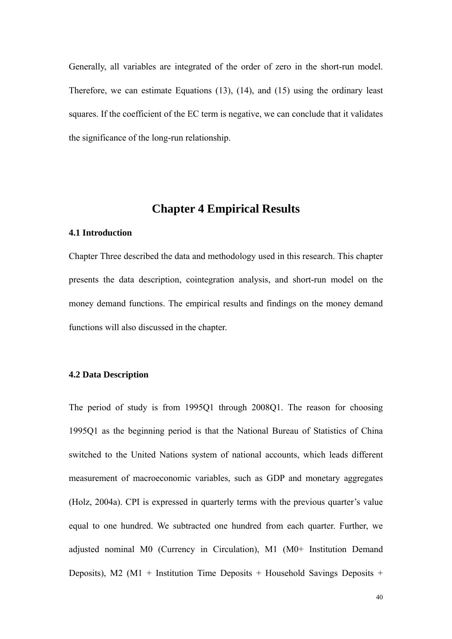Generally, all variables are integrated of the order of zero in the short-run model. Therefore, we can estimate Equations (13), (14), and (15) using the ordinary least squares. If the coefficient of the EC term is negative, we can conclude that it validates the significance of the long-run relationship.

# **Chapter 4 Empirical Results**

## **4.1 Introduction**

Chapter Three described the data and methodology used in this research. This chapter presents the data description, cointegration analysis, and short-run model on the money demand functions. The empirical results and findings on the money demand functions will also discussed in the chapter.

#### **4.2 Data Description**

The period of study is from 1995Q1 through 2008Q1. The reason for choosing 1995Q1 as the beginning period is that the National Bureau of Statistics of China switched to the United Nations system of national accounts, which leads different measurement of macroeconomic variables, such as GDP and monetary aggregates (Holz, 2004a). CPI is expressed in quarterly terms with the previous quarter's value equal to one hundred. We subtracted one hundred from each quarter. Further, we adjusted nominal M0 (Currency in Circulation), M1 (M0+ Institution Demand Deposits), M2 ( $M1$  + Institution Time Deposits + Household Savings Deposits +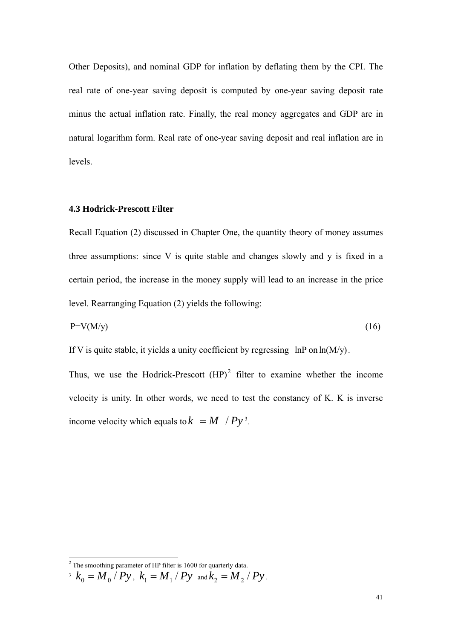Other Deposits), and nominal GDP for inflation by deflating them by the CPI. The real rate of one-year saving deposit is computed by one-year saving deposit rate minus the actual inflation rate. Finally, the real money aggregates and GDP are in natural logarithm form. Real rate of one-year saving deposit and real inflation are in levels.

#### **4.3 Hodrick-Prescott Filter**

Recall Equation (2) discussed in Chapter One, the quantity theory of money assumes three assumptions: since V is quite stable and changes slowly and y is fixed in a certain period, the increase in the money supply will lead to an increase in the price level. Rearranging Equation (2) yields the following:

$$
P=V(M/y) \tag{16}
$$

If V is quite stable, it yields a unity coefficient by regressing  $\ln P$  on  $\ln(M/y)$ .

Thus, we use the Hodrick-Prescott  $(HP)^2$  $(HP)^2$  filter to examine whether the income velocity is unity. In other words, we need to test the constancy of K. K is inverse income velocity which equals to  $k = M / Py^3$ .

 2 The smoothing parameter of HP filter is 1600 for quarterly data.

<span id="page-47-1"></span><span id="page-47-0"></span> $y^3$   $k_0 = M_0 / Py$ ,  $k_1 = M_1 / Py$  and  $k_2 = M_2 / Py$ .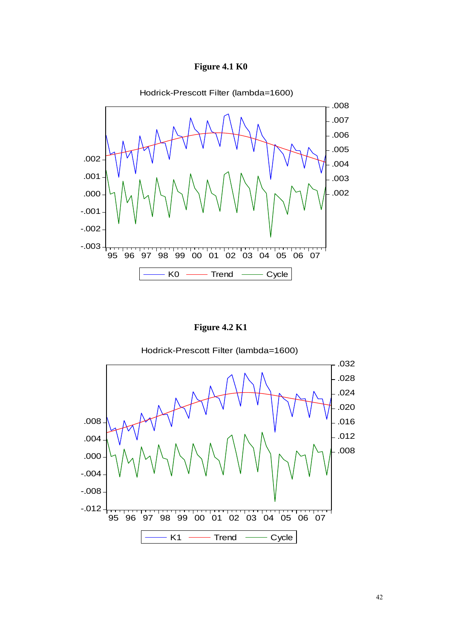



 **Figure 4.2 K1** 

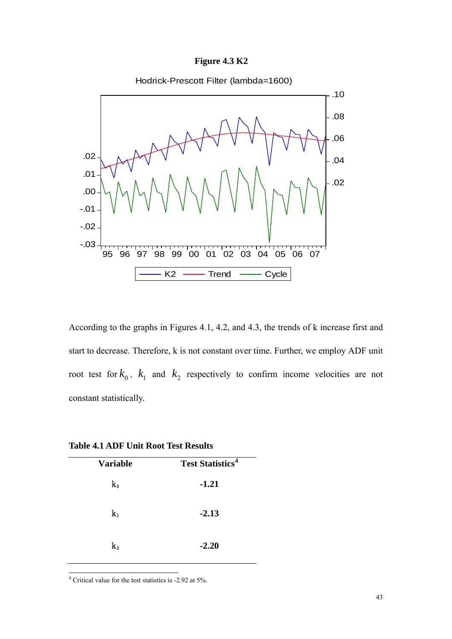## **Figure 4.3 K2**



According to the graphs in Figures 4.1, 4.2, and 4.3, the trends of k increase first and start to decrease. Therefore, k is not constant over time. Further, we employ ADF unit root test for  $k_0$ ,  $k_1$  and  $k_2$  respectively to confirm income velocities are not constant statistically.

| <b>Variable</b> | <b>Test Statistics<sup>4</sup></b> |
|-----------------|------------------------------------|
| k0              | $-1.21$                            |
| $\mathbf{k}_1$  | $-2.13$                            |
| $\bf k_2$       | $-2.20$                            |

<span id="page-49-0"></span>4 Critical value for the test statistics is -2.92 at 5%.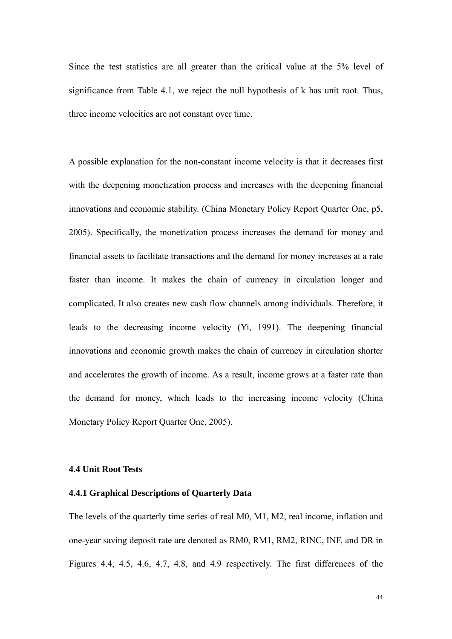Since the test statistics are all greater than the critical value at the 5% level of significance from Table 4.1, we reject the null hypothesis of k has unit root. Thus, three income velocities are not constant over time.

A possible explanation for the non-constant income velocity is that it decreases first with the deepening monetization process and increases with the deepening financial innovations and economic stability. (China Monetary Policy Report Quarter One, p5, 2005). Specifically, the monetization process increases the demand for money and financial assets to facilitate transactions and the demand for money increases at a rate faster than income. It makes the chain of currency in circulation longer and complicated. It also creates new cash flow channels among individuals. Therefore, it leads to the decreasing income velocity (Yi, 1991). The deepening financial innovations and economic growth makes the chain of currency in circulation shorter and accelerates the growth of income. As a result, income grows at a faster rate than the demand for money, which leads to the increasing income velocity (China Monetary Policy Report Quarter One, 2005).

# **4.4 Unit Root Tests**

## **4.4.1 Graphical Descriptions of Quarterly Data**

The levels of the quarterly time series of real M0, M1, M2, real income, inflation and one-year saving deposit rate are denoted as RM0, RM1, RM2, RINC, INF, and DR in Figures 4.4, 4.5, 4.6, 4.7, 4.8, and 4.9 respectively. The first differences of the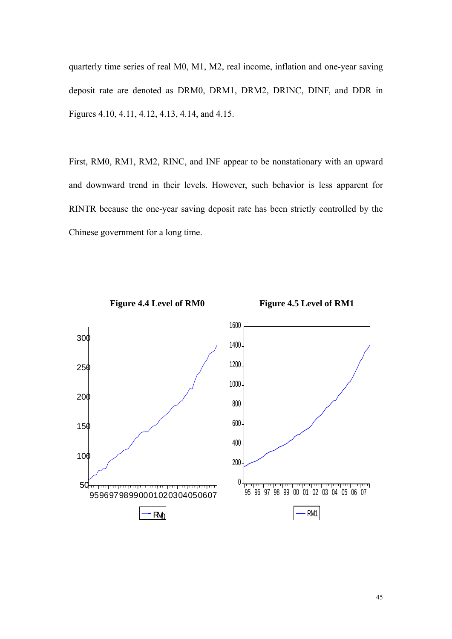quarterly time series of real M0, M1, M2, real income, inflation and one-year saving deposit rate are denoted as DRM0, DRM1, DRM2, DRINC, DINF, and DDR in Figures 4.10, 4.11, 4.12, 4.13, 4.14, and 4.15.

First, RM0, RM1, RM2, RINC, and INF appear to be nonstationary with an upward and downward trend in their levels. However, such behavior is less apparent for RINTR because the one-year saving deposit rate has been strictly controlled by the Chinese government for a long time.



Figure 4.4 Level of RM0 Figure 4.5 Level of RM1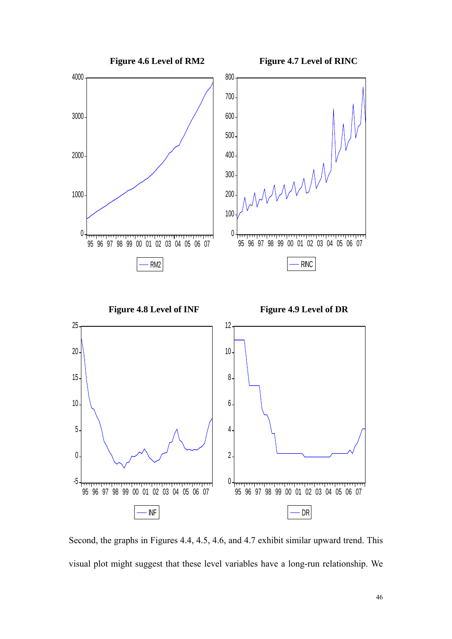

Second, the graphs in Figures 4.4, 4.5, 4.6, and 4.7 exhibit similar upward trend. This visual plot might suggest that these level variables have a long-run relationship. We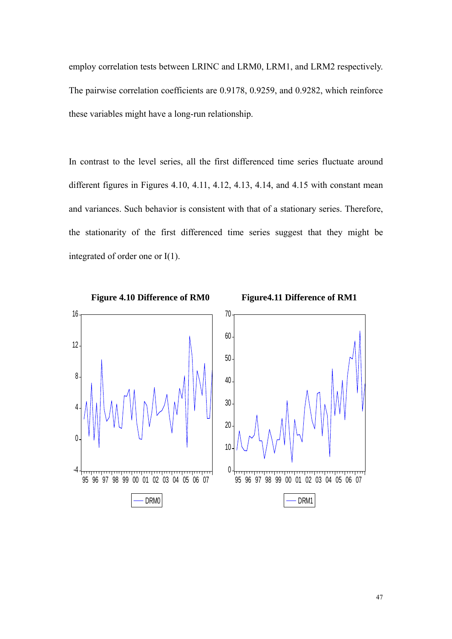employ correlation tests between LRINC and LRM0, LRM1, and LRM2 respectively. The pairwise correlation coefficients are 0.9178, 0.9259, and 0.9282, which reinforce these variables might have a long-run relationship.

In contrast to the level series, all the first differenced time series fluctuate around different figures in Figures 4.10, 4.11, 4.12, 4.13, 4.14, and 4.15 with constant mean and variances. Such behavior is consistent with that of a stationary series. Therefore, the stationarity of the first differenced time series suggest that they might be integrated of order one or I(1).

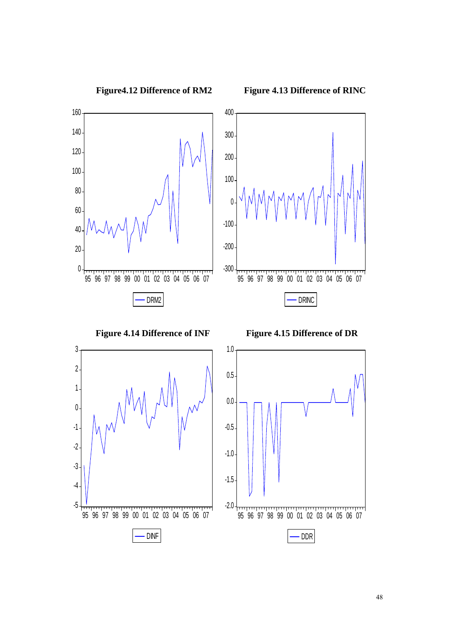

**Figure4.12 Difference of RM2 Figure 4.13 Difference of RINC**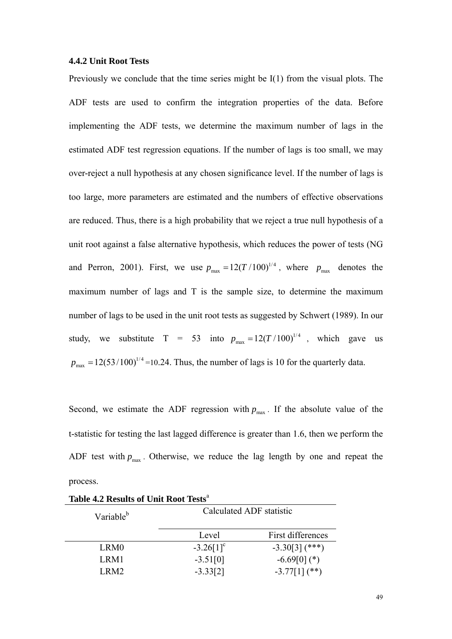#### **4.4.2 Unit Root Tests**

Previously we conclude that the time series might be I(1) from the visual plots. The ADF tests are used to confirm the integration properties of the data. Before implementing the ADF tests, we determine the maximum number of lags in the estimated ADF test regression equations. If the number of lags is too small, we may over-reject a null hypothesis at any chosen significance level. If the number of lags is too large, more parameters are estimated and the numbers of effective observations are reduced. Thus, there is a high probability that we reject a true null hypothesis of a unit root against a false alternative hypothesis, which reduces the power of tests (NG and Perron, 2001). First, we use  $p_{\text{max}} = 12(T/100)^{1/4}$ , where  $p_{\text{max}}$  denotes the maximum number of lags and T is the sample size, to determine the maximum number of lags to be used in the unit root tests as suggested by Schwert (1989). In our study, we substitute T = 53 into  $p_{\text{max}} = 12(T/100)^{1/4}$ , which gave us  $p_{\text{max}} = 12(53/100)^{1/4} = 10.24$ . Thus, the number of lags is 10 for the quarterly data.

Second, we estimate the ADF regression with  $p_{\text{max}}$ . If the absolute value of the t-statistic for testing the last lagged difference is greater than 1.6, then we perform the ADF test with  $p_{\text{max}}$ . Otherwise, we reduce the lag length by one and repeat the process.

| Variable <sup>b</sup> | Calculated ADF statistic |                   |  |  |  |
|-----------------------|--------------------------|-------------------|--|--|--|
|                       | Level                    | First differences |  |  |  |
| LRM0                  | $-3.26[1]$ <sup>c</sup>  | $-3.30[3]$ (***)  |  |  |  |
| LRM1                  | $-3.51[0]$               | $-6.69[0](*)$     |  |  |  |
| LRM2                  | $-3.33[2]$               | $-3.77[1]$ (**)   |  |  |  |

**Table 4.2 Results of Unit Root Tests**<sup>a</sup>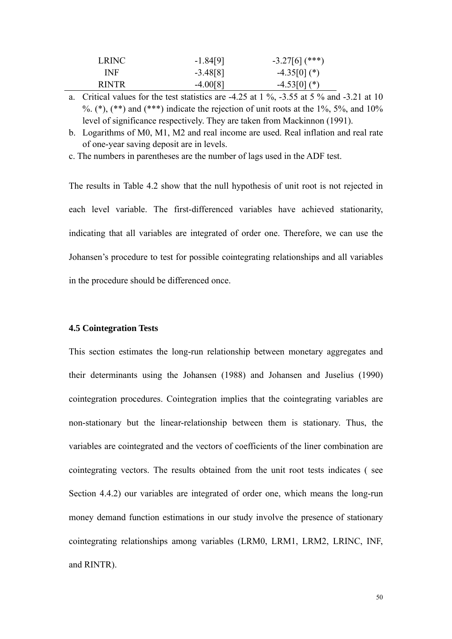| LRINC.       | $-1.84[9]$ | $-3.27[6]$ (***) |
|--------------|------------|------------------|
| INF          | $-3.48[8]$ | $-4.35[0](*)$    |
| <b>RINTR</b> | $-4.00[8]$ | $-4.53[0](*)$    |

a. Critical values for the test statistics are  $-4.25$  at 1 %,  $-3.55$  at 5 % and  $-3.21$  at 10 %.  $(*),$   $(**)$  and  $(***)$  indicate the rejection of unit roots at the  $1\%$ ,  $5\%$ , and  $10\%$ level of significance respectively. They are taken from Mackinnon (1991).

b. Logarithms of M0, M1, M2 and real income are used. Real inflation and real rate of one-year saving deposit are in levels.

c. The numbers in parentheses are the number of lags used in the ADF test.

The results in Table 4.2 show that the null hypothesis of unit root is not rejected in each level variable. The first-differenced variables have achieved stationarity, indicating that all variables are integrated of order one. Therefore, we can use the Johansen's procedure to test for possible cointegrating relationships and all variables in the procedure should be differenced once.

## **4.5 Cointegration Tests**

This section estimates the long-run relationship between monetary aggregates and their determinants using the Johansen (1988) and Johansen and Juselius (1990) cointegration procedures. Cointegration implies that the cointegrating variables are non-stationary but the linear-relationship between them is stationary. Thus, the variables are cointegrated and the vectors of coefficients of the liner combination are cointegrating vectors. The results obtained from the unit root tests indicates ( see Section 4.4.2) our variables are integrated of order one, which means the long-run money demand function estimations in our study involve the presence of stationary cointegrating relationships among variables (LRM0, LRM1, LRM2, LRINC, INF, and RINTR).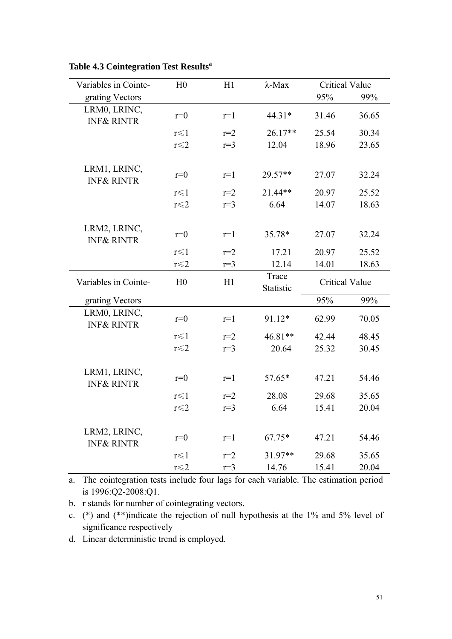| Variables in Cointe-                  | H <sub>0</sub> | H1    | $\lambda$ -Max     | <b>Critical Value</b> |       |
|---------------------------------------|----------------|-------|--------------------|-----------------------|-------|
| grating Vectors                       |                |       |                    | 95%                   | 99%   |
| LRM0, LRINC,<br><b>INF&amp; RINTR</b> | $r=0$          | $r=1$ | 44.31*             | 31.46                 | 36.65 |
|                                       | $r \leq 1$     | $r=2$ | 26.17**            | 25.54                 | 30.34 |
|                                       | $r \leq 2$     | $r=3$ | 12.04              | 18.96                 | 23.65 |
| LRM1, LRINC,<br><b>INF&amp; RINTR</b> | $r=0$          | $r=1$ | 29.57**            | 27.07                 | 32.24 |
|                                       | $r \leq 1$     | $r=2$ | 21.44**            | 20.97                 | 25.52 |
|                                       | $r \leq 2$     | $r=3$ | 6.64               | 14.07                 | 18.63 |
| LRM2, LRINC,<br><b>INF&amp; RINTR</b> | $r=0$          | $r=1$ | 35.78*             | 27.07                 | 32.24 |
|                                       | $r \leq 1$     | $r=2$ | 17.21              | 20.97                 | 25.52 |
|                                       | $r \leq 2$     | $r=3$ | 12.14              | 14.01                 | 18.63 |
| Variables in Cointe-                  | H <sub>0</sub> | H1    | Trace<br>Statistic | <b>Critical Value</b> |       |
| grating Vectors                       |                |       |                    | 95%                   | 99%   |
| LRM0, LRINC,<br><b>INF&amp; RINTR</b> | $r=0$          | $r=1$ | 91.12*             | 62.99                 | 70.05 |
|                                       | $r \leq 1$     | $r=2$ | 46.81**            | 42.44                 | 48.45 |
|                                       | $r \leq 2$     | $r=3$ | 20.64              | 25.32                 | 30.45 |
| LRM1, LRINC,<br><b>INF&amp; RINTR</b> | $r=0$          | $r=1$ | $57.65*$           | 47.21                 | 54.46 |
|                                       | $r \leq 1$     | $r=2$ | 28.08              | 29.68                 | 35.65 |
|                                       | $r \leq 2$     | $r=3$ | 6.64               | 15.41                 | 20.04 |
| LRM2, LRINC,<br><b>INF&amp; RINTR</b> | $r=0$          | $r=1$ | $67.75*$           | 47.21                 | 54.46 |
|                                       | $r \leq 1$     | $r=2$ | $31.97**$          | 29.68                 | 35.65 |
|                                       | $r \leq 2$     | $r=3$ | 14.76              | 15.41                 | 20.04 |

Table 4.3 Cointegration Test Results<sup>a</sup>

a. The cointegration tests include four lags for each variable. The estimation period is 1996:Q2-2008:Q1.

b. r stands for number of cointegrating vectors.

c. (\*) and (\*\*)indicate the rejection of null hypothesis at the 1% and 5% level of significance respectively

d. Linear deterministic trend is employed.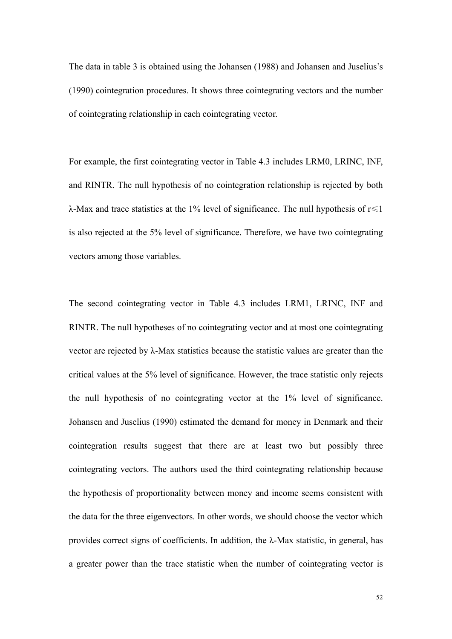The data in table 3 is obtained using the Johansen (1988) and Johansen and Juselius's (1990) cointegration procedures. It shows three cointegrating vectors and the number of cointegrating relationship in each cointegrating vector.

For example, the first cointegrating vector in Table 4.3 includes LRM0, LRINC, INF, and RINTR. The null hypothesis of no cointegration relationship is rejected by both λ-Max and trace statistics at the 1% level of significance. The null hypothesis of r≤1 is also rejected at the 5% level of significance. Therefore, we have two cointegrating vectors among those variables.

The second cointegrating vector in Table 4.3 includes LRM1, LRINC, INF and RINTR. The null hypotheses of no cointegrating vector and at most one cointegrating vector are rejected by λ-Max statistics because the statistic values are greater than the critical values at the 5% level of significance. However, the trace statistic only rejects the null hypothesis of no cointegrating vector at the 1% level of significance. Johansen and Juselius (1990) estimated the demand for money in Denmark and their cointegration results suggest that there are at least two but possibly three cointegrating vectors. The authors used the third cointegrating relationship because the hypothesis of proportionality between money and income seems consistent with the data for the three eigenvectors. In other words, we should choose the vector which provides correct signs of coefficients. In addition, the λ-Max statistic, in general, has a greater power than the trace statistic when the number of cointegrating vector is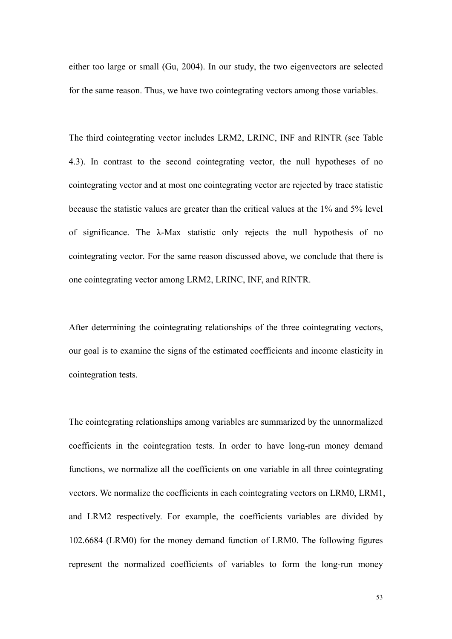either too large or small (Gu, 2004). In our study, the two eigenvectors are selected for the same reason. Thus, we have two cointegrating vectors among those variables.

The third cointegrating vector includes LRM2, LRINC, INF and RINTR (see Table 4.3). In contrast to the second cointegrating vector, the null hypotheses of no cointegrating vector and at most one cointegrating vector are rejected by trace statistic because the statistic values are greater than the critical values at the 1% and 5% level of significance. The λ-Max statistic only rejects the null hypothesis of no cointegrating vector. For the same reason discussed above, we conclude that there is one cointegrating vector among LRM2, LRINC, INF, and RINTR.

After determining the cointegrating relationships of the three cointegrating vectors, our goal is to examine the signs of the estimated coefficients and income elasticity in cointegration tests.

The cointegrating relationships among variables are summarized by the unnormalized coefficients in the cointegration tests. In order to have long-run money demand functions, we normalize all the coefficients on one variable in all three cointegrating vectors. We normalize the coefficients in each cointegrating vectors on LRM0, LRM1, and LRM2 respectively. For example, the coefficients variables are divided by 102.6684 (LRM0) for the money demand function of LRM0. The following figures represent the normalized coefficients of variables to form the long-run money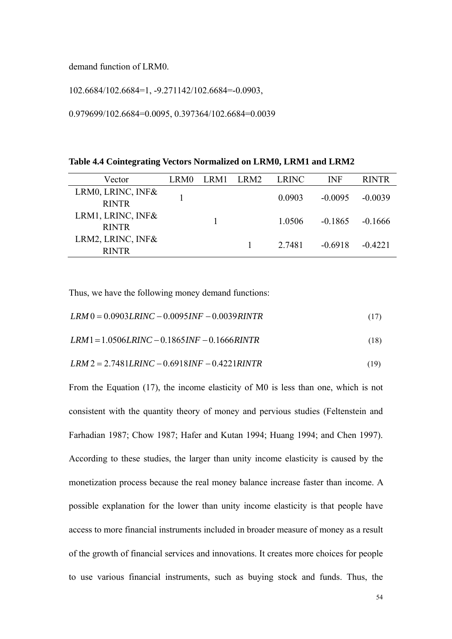demand function of LRM0.

102.6684/102.6684=1, -9.271142/102.6684=-0.0903,

0.979699/102.6684=0.0095, 0.397364/102.6684=0.0039

| Table 4.4 Cointegrating Vectors Normalized on LRM0, LRM1 and LRM2 |  |  |  |
|-------------------------------------------------------------------|--|--|--|
|                                                                   |  |  |  |

| Vector                                | LRM0 | LRM1 LRM2 | <b>LRINC</b> | INF       | <b>RINTR</b> |
|---------------------------------------|------|-----------|--------------|-----------|--------------|
| LRM0, LRINC, INF&<br><b>RINTR</b>     |      |           | 0.0903       | $-0.0095$ | $-0.0039$    |
| LRM1, LRINC, INF $\&$<br><b>RINTR</b> |      |           | 1.0506       | $-0.1865$ | $-0.1666$    |
| LRM2, LRINC, INF&<br><b>RINTR</b>     |      |           | 2.7481       | $-0.6918$ | $-0.4221$    |

Thus, we have the following money demand functions:

$$
LRM 0 = 0.0903LRINC - 0.0095INF - 0.0039RINTR
$$
\n
$$
(17)
$$

$$
LRM1 = 1.0506LRINC - 0.1865INF - 0.1666RINTR
$$
\n<sup>(18)</sup>

$$
LRM2 = 2.7481LRINC - 0.6918INF - 0.4221RINTR
$$
\n<sup>(19)</sup>

From the Equation (17), the income elasticity of M0 is less than one, which is not consistent with the quantity theory of money and pervious studies (Feltenstein and Farhadian 1987; Chow 1987; Hafer and Kutan 1994; Huang 1994; and Chen 1997). According to these studies, the larger than unity income elasticity is caused by the monetization process because the real money balance increase faster than income. A possible explanation for the lower than unity income elasticity is that people have access to more financial instruments included in broader measure of money as a result of the growth of financial services and innovations. It creates more choices for people to use various financial instruments, such as buying stock and funds. Thus, the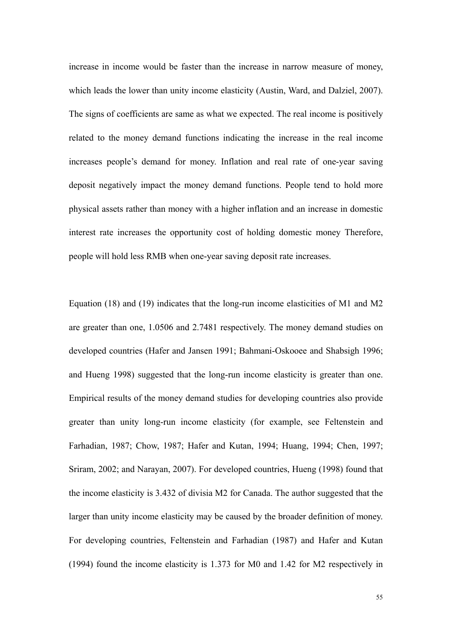increase in income would be faster than the increase in narrow measure of money, which leads the lower than unity income elasticity (Austin, Ward, and Dalziel, 2007). The signs of coefficients are same as what we expected. The real income is positively related to the money demand functions indicating the increase in the real income increases people's demand for money. Inflation and real rate of one-year saving deposit negatively impact the money demand functions. People tend to hold more physical assets rather than money with a higher inflation and an increase in domestic interest rate increases the opportunity cost of holding domestic money Therefore, people will hold less RMB when one-year saving deposit rate increases.

Equation (18) and (19) indicates that the long-run income elasticities of M1 and M2 are greater than one, 1.0506 and 2.7481 respectively. The money demand studies on developed countries (Hafer and Jansen 1991; Bahmani-Oskooee and Shabsigh 1996; and Hueng 1998) suggested that the long-run income elasticity is greater than one. Empirical results of the money demand studies for developing countries also provide greater than unity long-run income elasticity (for example, see Feltenstein and Farhadian, 1987; Chow, 1987; Hafer and Kutan, 1994; Huang, 1994; Chen, 1997; Sriram, 2002; and Narayan, 2007). For developed countries, Hueng (1998) found that the income elasticity is 3.432 of divisia M2 for Canada. The author suggested that the larger than unity income elasticity may be caused by the broader definition of money. For developing countries, Feltenstein and Farhadian (1987) and Hafer and Kutan (1994) found the income elasticity is 1.373 for M0 and 1.42 for M2 respectively in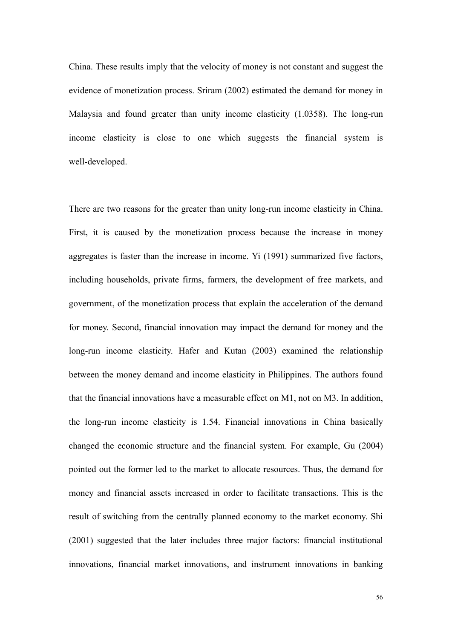China. These results imply that the velocity of money is not constant and suggest the evidence of monetization process. Sriram (2002) estimated the demand for money in Malaysia and found greater than unity income elasticity (1.0358). The long-run income elasticity is close to one which suggests the financial system is well-developed.

There are two reasons for the greater than unity long-run income elasticity in China. First, it is caused by the monetization process because the increase in money aggregates is faster than the increase in income. Yi (1991) summarized five factors, including households, private firms, farmers, the development of free markets, and government, of the monetization process that explain the acceleration of the demand for money. Second, financial innovation may impact the demand for money and the long-run income elasticity. Hafer and Kutan (2003) examined the relationship between the money demand and income elasticity in Philippines. The authors found that the financial innovations have a measurable effect on M1, not on M3. In addition, the long-run income elasticity is 1.54. Financial innovations in China basically changed the economic structure and the financial system. For example, Gu (2004) pointed out the former led to the market to allocate resources. Thus, the demand for money and financial assets increased in order to facilitate transactions. This is the result of switching from the centrally planned economy to the market economy. Shi (2001) suggested that the later includes three major factors: financial institutional innovations, financial market innovations, and instrument innovations in banking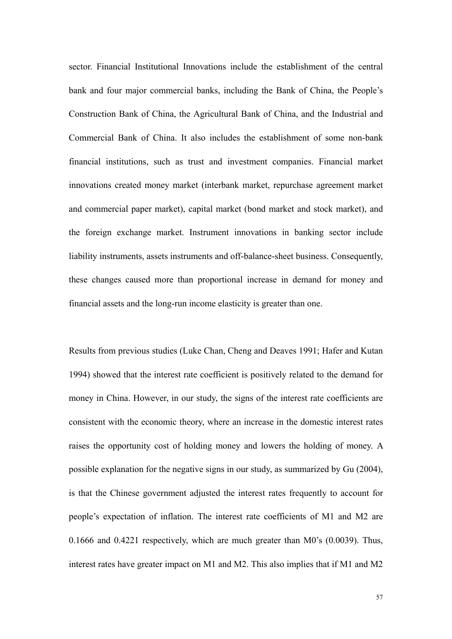sector. Financial Institutional Innovations include the establishment of the central bank and four major commercial banks, including the Bank of China, the People's Construction Bank of China, the Agricultural Bank of China, and the Industrial and Commercial Bank of China. It also includes the establishment of some non-bank financial institutions, such as trust and investment companies. Financial market innovations created money market (interbank market, repurchase agreement market and commercial paper market), capital market (bond market and stock market), and the foreign exchange market. Instrument innovations in banking sector include liability instruments, assets instruments and off-balance-sheet business. Consequently, these changes caused more than proportional increase in demand for money and financial assets and the long-run income elasticity is greater than one.

Results from previous studies (Luke Chan, Cheng and Deaves 1991; Hafer and Kutan 1994) showed that the interest rate coefficient is positively related to the demand for money in China. However, in our study, the signs of the interest rate coefficients are consistent with the economic theory, where an increase in the domestic interest rates raises the opportunity cost of holding money and lowers the holding of money. A possible explanation for the negative signs in our study, as summarized by Gu (2004), is that the Chinese government adjusted the interest rates frequently to account for people's expectation of inflation. The interest rate coefficients of M1 and M2 are 0.1666 and 0.4221 respectively, which are much greater than M0's (0.0039). Thus, interest rates have greater impact on M1 and M2. This also implies that if M1 and M2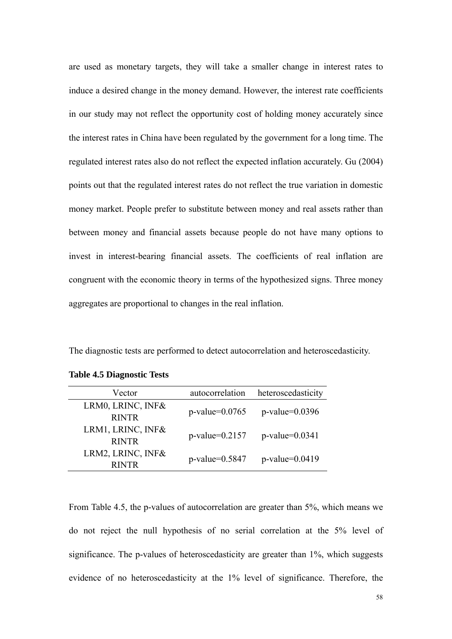are used as monetary targets, they will take a smaller change in interest rates to induce a desired change in the money demand. However, the interest rate coefficients in our study may not reflect the opportunity cost of holding money accurately since the interest rates in China have been regulated by the government for a long time. The regulated interest rates also do not reflect the expected inflation accurately. Gu (2004) points out that the regulated interest rates do not reflect the true variation in domestic money market. People prefer to substitute between money and real assets rather than between money and financial assets because people do not have many options to invest in interest-bearing financial assets. The coefficients of real inflation are congruent with the economic theory in terms of the hypothesized signs. Three money aggregates are proportional to changes in the real inflation.

The diagnostic tests are performed to detect autocorrelation and heteroscedasticity.

| Vector                            | autocorrelation      | heteroscedasticity   |
|-----------------------------------|----------------------|----------------------|
| LRM0, LRINC, INF&<br><b>RINTR</b> | $p$ -value=0.0765    | $p$ -value=0.0396    |
| LRM1, LRINC, INF&<br><b>RINTR</b> | $p$ -value=0.2157    | $p$ -value= $0.0341$ |
| LRM2, LRINC, INF&<br><b>RINTR</b> | $p$ -value= $0.5847$ | p-value=0.0419       |
|                                   |                      |                      |

**Table 4.5 Diagnostic Tests** 

From Table 4.5, the p-values of autocorrelation are greater than 5%, which means we do not reject the null hypothesis of no serial correlation at the 5% level of significance. The p-values of heteroscedasticity are greater than 1%, which suggests evidence of no heteroscedasticity at the 1% level of significance. Therefore, the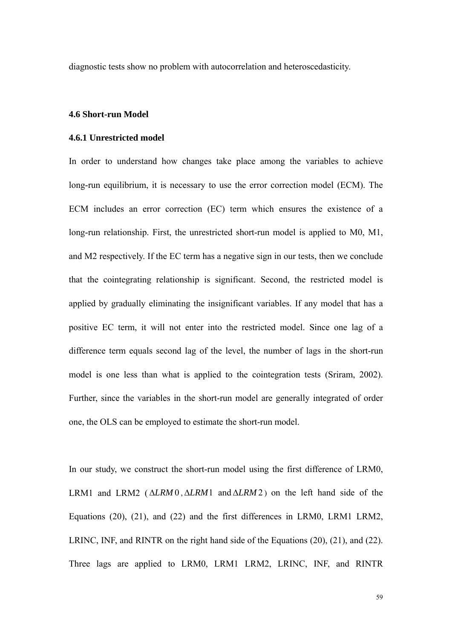diagnostic tests show no problem with autocorrelation and heteroscedasticity.

# **4.6 Short-run Model**

# **4.6.1 Unrestricted model**

In order to understand how changes take place among the variables to achieve long-run equilibrium, it is necessary to use the error correction model (ECM). The ECM includes an error correction (EC) term which ensures the existence of a long-run relationship. First, the unrestricted short-run model is applied to M0, M1, and M2 respectively. If the EC term has a negative sign in our tests, then we conclude that the cointegrating relationship is significant. Second, the restricted model is applied by gradually eliminating the insignificant variables. If any model that has a positive EC term, it will not enter into the restricted model. Since one lag of a difference term equals second lag of the level, the number of lags in the short-run model is one less than what is applied to the cointegration tests (Sriram, 2002). Further, since the variables in the short-run model are generally integrated of order one, the OLS can be employed to estimate the short-run model.

In our study, we construct the short-run model using the first difference of LRM0, LRM1 and LRM2 ( $\triangle LRM0$ ,  $\triangle LRM1$  and  $\triangle LRM2$ ) on the left hand side of the Equations (20), (21), and (22) and the first differences in LRM0, LRM1 LRM2, LRINC, INF, and RINTR on the right hand side of the Equations (20), (21), and (22). Three lags are applied to LRM0, LRM1 LRM2, LRINC, INF, and RINTR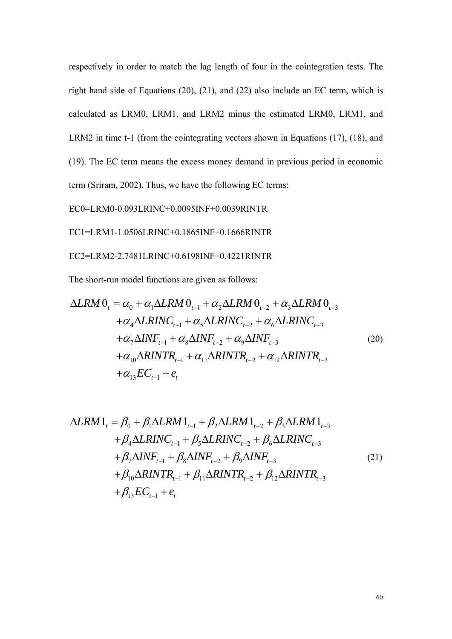respectively in order to match the lag length of four in the cointegration tests. The right hand side of Equations (20), (21), and (22) also include an EC term, which is calculated as LRM0, LRM1, and LRM2 minus the estimated LRM0, LRM1, and LRM2 in time t-1 (from the cointegrating vectors shown in Equations (17), (18), and (19). The EC term means the excess money demand in previous period in economic term (Sriram, 2002). Thus, we have the following EC terms:

EC0=LRM0-0.093LRINC+0.0095INF+0.0039RINTR

EC1=LRM1-1.0506LRINC+0.1865INF+0.1666RINTR

EC2=LRM2-2.7481LRINC+0.6198INF+0.4221RINTR

The short-run model functions are given as follows:

$$
\Delta LRM O_{t} = \alpha_{0} + \alpha_{1} \Delta LRM O_{t-1} + \alpha_{2} \Delta LRM O_{t-2} + \alpha_{3} \Delta LRM O_{t-3}
$$
  
+ $\alpha_{4} \Delta LRINC_{t-1} + \alpha_{5} \Delta LRINC_{t-2} + \alpha_{6} \Delta LRINC_{t-3}$   
+ $\alpha_{7} \Delta INF_{t-1} + \alpha_{8} \Delta INF_{t-2} + \alpha_{9} \Delta INF_{t-3}$   
+ $\alpha_{10} \Delta RINTR_{t-1} + \alpha_{11} \Delta RINTR_{t-2} + \alpha_{12} \Delta RINTR_{t-3}$   
+ $\alpha_{13} EC_{t-1} + e_{t}$  (20)

$$
\Delta LRM1_{t} = \beta_{0} + \beta_{1} \Delta LRM1_{t-1} + \beta_{2} \Delta LRM1_{t-2} + \beta_{3} \Delta LRM1_{t-3} + \beta_{4} \Delta LRINC_{t-1} + \beta_{5} \Delta LRINC_{t-2} + \beta_{6} \Delta LRINC_{t-3} + \beta_{7} \Delta INF_{t-1} + \beta_{8} \Delta INF_{t-2} + \beta_{9} \Delta INF_{t-3} + \beta_{10} \Delta RINTR_{t-1} + \beta_{11} \Delta RINTR_{t-2} + \beta_{12} \Delta RINTR_{t-3} + \beta_{13} EC_{t-1} + e_{t}
$$
\n(21)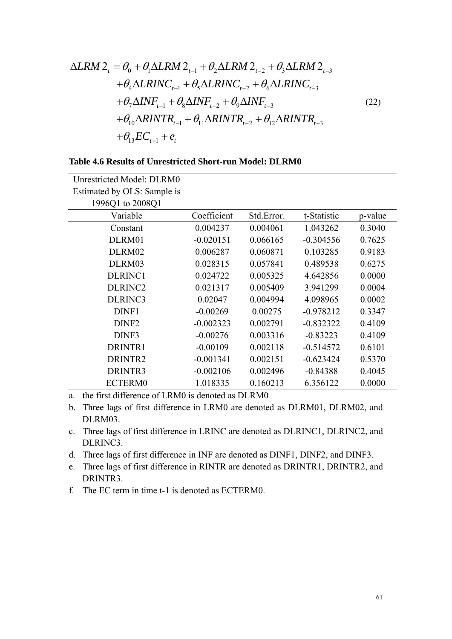$$
\Delta LRM 2_{t} = \theta_{0} + \theta_{1} \Delta LRM 2_{t-1} + \theta_{2} \Delta LRM 2_{t-2} + \theta_{3} \Delta LRM 2_{t-3} + \theta_{4} \Delta LRINC_{t-1} + \theta_{5} \Delta LRINC_{t-2} + \theta_{6} \Delta LRINC_{t-3} + \theta_{7} \Delta INF_{t-1} + \theta_{8} \Delta INF_{t-2} + \theta_{9} \Delta INF_{t-3} + \theta_{10} \Delta RINTR_{t-1} + \theta_{11} \Delta RINTR_{t-2} + \theta_{12} \Delta RINTR_{t-3} + \theta_{13} EC_{t-1} + e_{t}
$$
\n(22)

| <b>Table 4.6 Results of Unrestricted Short-run Model: DLRM0</b> |  |  |  |  |  |  |  |  |
|-----------------------------------------------------------------|--|--|--|--|--|--|--|--|
|-----------------------------------------------------------------|--|--|--|--|--|--|--|--|

| Unrestricted Model: DLRM0   |             |            |             |         |
|-----------------------------|-------------|------------|-------------|---------|
| Estimated by OLS: Sample is |             |            |             |         |
| 1996Q1 to 2008Q1            |             |            |             |         |
| Variable                    | Coefficient | Std.Error. | t-Statistic | p-value |
| Constant                    | 0.004237    | 0.004061   | 1.043262    | 0.3040  |
| DLRM01                      | $-0.020151$ | 0.066165   | $-0.304556$ | 0.7625  |
| DLRM02                      | 0.006287    | 0.060871   | 0.103285    | 0.9183  |
| DLRM03                      | 0.028315    | 0.057841   | 0.489538    | 0.6275  |
| DLRINC1                     | 0.024722    | 0.005325   | 4.642856    | 0.0000  |
| DLRINC <sub>2</sub>         | 0.021317    | 0.005409   | 3.941299    | 0.0004  |
| DLRINC3                     | 0.02047     | 0.004994   | 4.098965    | 0.0002  |
| DINF1                       | $-0.00269$  | 0.00275    | $-0.978212$ | 0.3347  |
| DINF <sub>2</sub>           | $-0.002323$ | 0.002791   | $-0.832322$ | 0.4109  |
| DINF3                       | $-0.00276$  | 0.003316   | $-0.83223$  | 0.4109  |
| DRINTR1                     | $-0.00109$  | 0.002118   | $-0.514572$ | 0.6101  |
| DRINTR2                     | $-0.001341$ | 0.002151   | $-0.623424$ | 0.5370  |
| DRINTR3                     | $-0.002106$ | 0.002496   | $-0.84388$  | 0.4045  |
| <b>ECTERM0</b>              | 1.018335    | 0.160213   | 6.356122    | 0.0000  |

a. the first difference of LRM0 is denoted as DLRM0

b. Three lags of first difference in LRM0 are denoted as DLRM01, DLRM02, and DLRM03.

c. Three lags of first difference in LRINC are denoted as DLRINC1, DLRINC2, and DLRINC3.

d. Three lags of first difference in INF are denoted as DINF1, DINF2, and DINF3.

e. Three lags of first difference in RINTR are denoted as DRINTR1, DRINTR2, and DRINTR3.

f. The EC term in time t-1 is denoted as ECTERM0.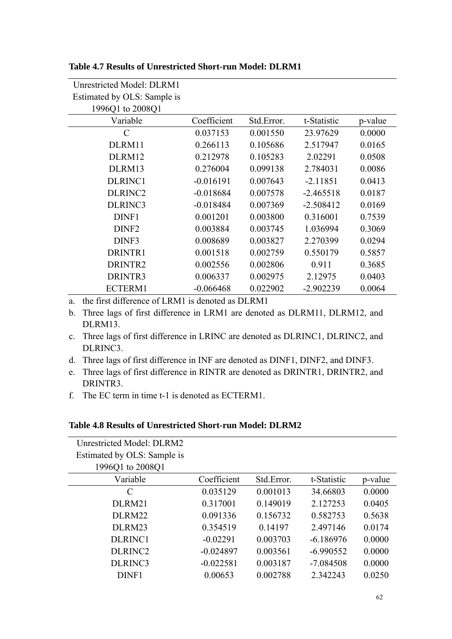| Unrestricted Model: DLRM1   |             |            |             |         |
|-----------------------------|-------------|------------|-------------|---------|
| Estimated by OLS: Sample is |             |            |             |         |
| 1996Q1 to 2008Q1            |             |            |             |         |
| Variable                    | Coefficient | Std.Error. | t-Statistic | p-value |
| C                           | 0.037153    | 0.001550   | 23.97629    | 0.0000  |
| DLRM11                      | 0.266113    | 0.105686   | 2.517947    | 0.0165  |
| DLRM12                      | 0.212978    | 0.105283   | 2.02291     | 0.0508  |
| DLRM13                      | 0.276004    | 0.099138   | 2.784031    | 0.0086  |
| <b>DLRINC1</b>              | $-0.016191$ | 0.007643   | $-2.11851$  | 0.0413  |
| DLRINC <sub>2</sub>         | $-0.018684$ | 0.007578   | $-2.465518$ | 0.0187  |
| DLRINC3                     | $-0.018484$ | 0.007369   | $-2.508412$ | 0.0169  |
| DINF1                       | 0.001201    | 0.003800   | 0.316001    | 0.7539  |
| DINF <sub>2</sub>           | 0.003884    | 0.003745   | 1.036994    | 0.3069  |
| DINF3                       | 0.008689    | 0.003827   | 2.270399    | 0.0294  |
| DRINTR1                     | 0.001518    | 0.002759   | 0.550179    | 0.5857  |
| DRINTR2                     | 0.002556    | 0.002806   | 0.911       | 0.3685  |
| DRINTR3                     | 0.006337    | 0.002975   | 2.12975     | 0.0403  |
| ECTERM1                     | $-0.066468$ | 0.022902   | $-2.902239$ | 0.0064  |

**Table 4.7 Results of Unrestricted Short-run Model: DLRM1** 

a. the first difference of LRM1 is denoted as DLRM1

- b. Three lags of first difference in LRM1 are denoted as DLRM11, DLRM12, and DLRM13.
- c. Three lags of first difference in LRINC are denoted as DLRINC1, DLRINC2, and DLRINC3.
- d. Three lags of first difference in INF are denoted as DINF1, DINF2, and DINF3.
- e. Three lags of first difference in RINTR are denoted as DRINTR1, DRINTR2, and DRINTR3.
- f. The EC term in time t-1 is denoted as ECTERM1.

## **Table 4.8 Results of Unrestricted Short-run Model: DLRM2**

| <b>Unrestricted Model: DLRM2</b> |             |            |             |         |
|----------------------------------|-------------|------------|-------------|---------|
| Estimated by OLS: Sample is      |             |            |             |         |
| 1996Q1 to 2008Q1                 |             |            |             |         |
| Variable                         | Coefficient | Std.Error. | t-Statistic | p-value |
| C                                | 0.035129    | 0.001013   | 34.66803    | 0.0000  |
| DLRM21                           | 0.317001    | 0.149019   | 2.127253    | 0.0405  |
| DLRM22                           | 0.091336    | 0.156732   | 0.582753    | 0.5638  |
| DLRM23                           | 0.354519    | 0.14197    | 2.497146    | 0.0174  |
| DLRINC1                          | $-0.02291$  | 0.003703   | $-6.186976$ | 0.0000  |
| DLRINC <sub>2</sub>              | $-0.024897$ | 0.003561   | $-6.990552$ | 0.0000  |
| DLRINC3                          | $-0.022581$ | 0.003187   | $-7.084508$ | 0.0000  |
| DINF1                            | 0.00653     | 0.002788   | 2.342243    | 0.0250  |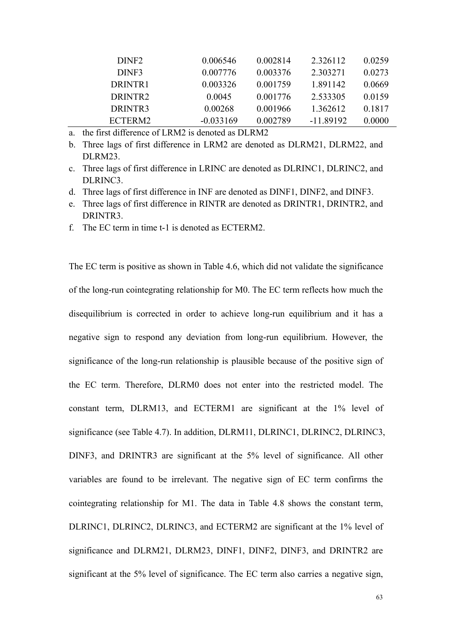| DINF <sub>2</sub>   | 0.006546    | 0.002814 | 2.326112  | 0.0259 |
|---------------------|-------------|----------|-----------|--------|
| DINF3               | 0.007776    | 0.003376 | 2.303271  | 0.0273 |
| DRINTR <sub>1</sub> | 0.003326    | 0.001759 | 1.891142  | 0.0669 |
| DRINTR <sub>2</sub> | 0.0045      | 0.001776 | 2.533305  | 0.0159 |
| DRINTR3             | 0.00268     | 0.001966 | 1.362612  | 0.1817 |
| ECTERM2             | $-0.033169$ | 0.002789 | -11 89192 | 0.0000 |

a. the first difference of LRM2 is denoted as DLRM2

- b. Three lags of first difference in LRM2 are denoted as DLRM21, DLRM22, and DLRM23.
- c. Three lags of first difference in LRINC are denoted as DLRINC1, DLRINC2, and DLRINC3.
- d. Three lags of first difference in INF are denoted as DINF1, DINF2, and DINF3.
- e. Three lags of first difference in RINTR are denoted as DRINTR1, DRINTR2, and DRINTR3.
- f. The EC term in time t-1 is denoted as ECTERM2.

The EC term is positive as shown in Table 4.6, which did not validate the significance of the long-run cointegrating relationship for M0. The EC term reflects how much the disequilibrium is corrected in order to achieve long-run equilibrium and it has a negative sign to respond any deviation from long-run equilibrium. However, the significance of the long-run relationship is plausible because of the positive sign of the EC term. Therefore, DLRM0 does not enter into the restricted model. The constant term, DLRM13, and ECTERM1 are significant at the 1% level of significance (see Table 4.7). In addition, DLRM11, DLRINC1, DLRINC2, DLRINC3, DINF3, and DRINTR3 are significant at the 5% level of significance. All other variables are found to be irrelevant. The negative sign of EC term confirms the cointegrating relationship for M1. The data in Table 4.8 shows the constant term, DLRINC1, DLRINC2, DLRINC3, and ECTERM2 are significant at the 1% level of significance and DLRM21, DLRM23, DINF1, DINF2, DINF3, and DRINTR2 are significant at the 5% level of significance. The EC term also carries a negative sign,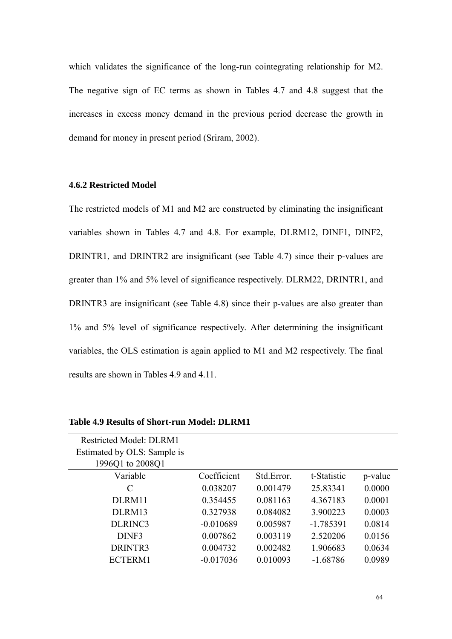which validates the significance of the long-run cointegrating relationship for M2. The negative sign of EC terms as shown in Tables 4.7 and 4.8 suggest that the increases in excess money demand in the previous period decrease the growth in demand for money in present period (Sriram, 2002).

## **4.6.2 Restricted Model**

The restricted models of M1 and M2 are constructed by eliminating the insignificant variables shown in Tables 4.7 and 4.8. For example, DLRM12, DINF1, DINF2, DRINTR1, and DRINTR2 are insignificant (see Table 4.7) since their p-values are greater than 1% and 5% level of significance respectively. DLRM22, DRINTR1, and DRINTR3 are insignificant (see Table 4.8) since their p-values are also greater than 1% and 5% level of significance respectively. After determining the insignificant variables, the OLS estimation is again applied to M1 and M2 respectively. The final results are shown in Tables 4.9 and 4.11.

| <b>Restricted Model: DLRM1</b> |             |            |             |         |
|--------------------------------|-------------|------------|-------------|---------|
| Estimated by OLS: Sample is    |             |            |             |         |
| 1996Q1 to 2008Q1               |             |            |             |         |
| Variable                       | Coefficient | Std.Error. | t-Statistic | p-value |
| C                              | 0.038207    | 0.001479   | 25.83341    | 0.0000  |
| DLRM11                         | 0.354455    | 0.081163   | 4.367183    | 0.0001  |
| DLRM13                         | 0.327938    | 0.084082   | 3.900223    | 0.0003  |
| DLRINC3                        | $-0.010689$ | 0.005987   | $-1.785391$ | 0.0814  |
| DINF3                          | 0.007862    | 0.003119   | 2.520206    | 0.0156  |
| DRINTR3                        | 0.004732    | 0.002482   | 1.906683    | 0.0634  |
| ECTERM1                        | $-0.017036$ | 0.010093   | $-1.68786$  | 0.0989  |

**Table 4.9 Results of Short-run Model: DLRM1**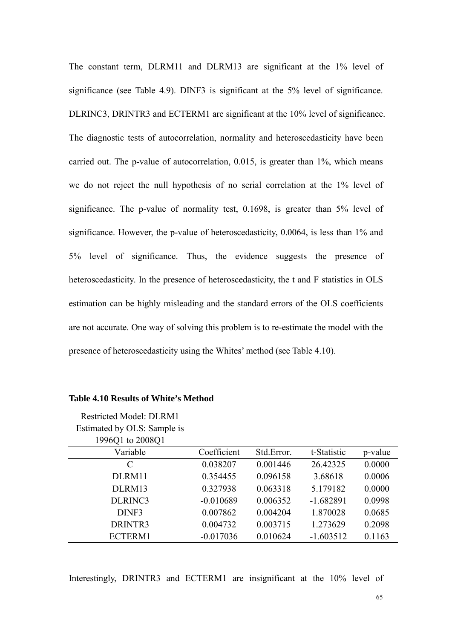The constant term, DLRM11 and DLRM13 are significant at the 1% level of significance (see Table 4.9). DINF3 is significant at the 5% level of significance. DLRINC3, DRINTR3 and ECTERM1 are significant at the 10% level of significance. The diagnostic tests of autocorrelation, normality and heteroscedasticity have been carried out. The p-value of autocorrelation, 0.015, is greater than 1%, which means we do not reject the null hypothesis of no serial correlation at the 1% level of significance. The p-value of normality test, 0.1698, is greater than 5% level of significance. However, the p-value of heteroscedasticity, 0.0064, is less than 1% and 5% level of significance. Thus, the evidence suggests the presence of heteroscedasticity. In the presence of heteroscedasticity, the t and F statistics in OLS estimation can be highly misleading and the standard errors of the OLS coefficients are not accurate. One way of solving this problem is to re-estimate the model with the presence of heteroscedasticity using the Whites' method (see Table 4.10).

| <b>Restricted Model: DLRM1</b> |             |            |             |         |
|--------------------------------|-------------|------------|-------------|---------|
| Estimated by OLS: Sample is    |             |            |             |         |
| 1996Q1 to 2008Q1               |             |            |             |         |
| Variable                       | Coefficient | Std.Error. | t-Statistic | p-value |
| C                              | 0.038207    | 0.001446   | 26.42325    | 0.0000  |
| DLRM11                         | 0.354455    | 0.096158   | 3.68618     | 0.0006  |
| DLRM13                         | 0.327938    | 0.063318   | 5.179182    | 0.0000  |
| DLRINC3                        | $-0.010689$ | 0.006352   | $-1.682891$ | 0.0998  |
| DINF3                          | 0.007862    | 0.004204   | 1.870028    | 0.0685  |
| DRINTR3                        | 0.004732    | 0.003715   | 1.273629    | 0.2098  |
| ECTERM1                        | $-0.017036$ | 0.010624   | $-1.603512$ | 0.1163  |

Interestingly, DRINTR3 and ECTERM1 are insignificant at the 10% level of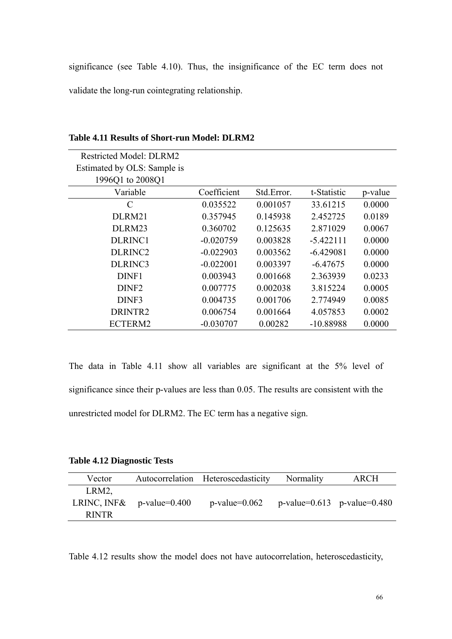significance (see Table 4.10). Thus, the insignificance of the EC term does not validate the long-run cointegrating relationship.

| <b>Restricted Model: DLRM2</b> |             |            |             |         |
|--------------------------------|-------------|------------|-------------|---------|
| Estimated by OLS: Sample is    |             |            |             |         |
| 1996Q1 to 2008Q1               |             |            |             |         |
| Variable                       | Coefficient | Std.Error. | t-Statistic | p-value |
| C                              | 0.035522    | 0.001057   | 33.61215    | 0.0000  |
| DLRM21                         | 0.357945    | 0.145938   | 2.452725    | 0.0189  |
| DLRM23                         | 0.360702    | 0.125635   | 2.871029    | 0.0067  |
| DLRINC1                        | $-0.020759$ | 0.003828   | $-5.422111$ | 0.0000  |
| DLRINC <sub>2</sub>            | $-0.022903$ | 0.003562   | $-6.429081$ | 0.0000  |
| DLRINC3                        | $-0.022001$ | 0.003397   | $-6.47675$  | 0.0000  |
| DINF1                          | 0.003943    | 0.001668   | 2.363939    | 0.0233  |
| DINF <sub>2</sub>              | 0.007775    | 0.002038   | 3.815224    | 0.0005  |
| DINF3                          | 0.004735    | 0.001706   | 2.774949    | 0.0085  |
| DRINTR2                        | 0.006754    | 0.001664   | 4.057853    | 0.0002  |
| ECTERM2                        | $-0.030707$ | 0.00282    | $-10.88988$ | 0.0000  |

**Table 4.11 Results of Short-run Model: DLRM2** 

The data in Table 4.11 show all variables are significant at the 5% level of significance since their p-values are less than 0.05. The results are consistent with the unrestricted model for DLRM2. The EC term has a negative sign.

### **Table 4.12 Diagnostic Tests**

| Vector       |                              | Autocorrelation Heteroscedasticity | Normality                         | <b>ARCH</b> |
|--------------|------------------------------|------------------------------------|-----------------------------------|-------------|
| LRM2.        |                              |                                    |                                   |             |
|              | LRINC, INF& $p$ -value=0.400 | $p$ -value=0.062                   | $p$ -value=0.613 $p$ -value=0.480 |             |
| <b>RINTR</b> |                              |                                    |                                   |             |

Table 4.12 results show the model does not have autocorrelation, heteroscedasticity,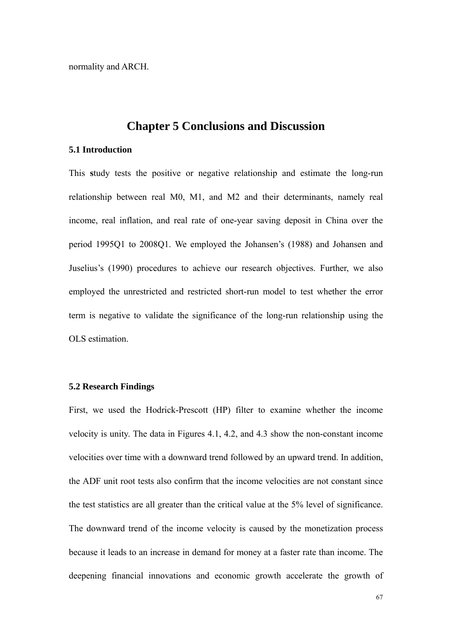normality and ARCH.

# **Chapter 5 Conclusions and Discussion**

#### **5.1 Introduction**

This **s**tudy tests the positive or negative relationship and estimate the long-run relationship between real M0, M1, and M2 and their determinants, namely real income, real inflation, and real rate of one-year saving deposit in China over the period 1995Q1 to 2008Q1. We employed the Johansen's (1988) and Johansen and Juselius's (1990) procedures to achieve our research objectives. Further, we also employed the unrestricted and restricted short-run model to test whether the error term is negative to validate the significance of the long-run relationship using the OLS estimation.

### **5.2 Research Findings**

First, we used the Hodrick-Prescott (HP) filter to examine whether the income velocity is unity. The data in Figures 4.1, 4.2, and 4.3 show the non-constant income velocities over time with a downward trend followed by an upward trend. In addition, the ADF unit root tests also confirm that the income velocities are not constant since the test statistics are all greater than the critical value at the 5% level of significance. The downward trend of the income velocity is caused by the monetization process because it leads to an increase in demand for money at a faster rate than income. The deepening financial innovations and economic growth accelerate the growth of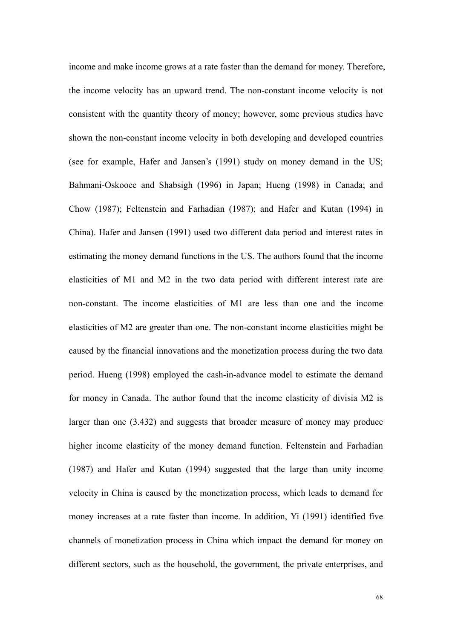income and make income grows at a rate faster than the demand for money. Therefore, the income velocity has an upward trend. The non-constant income velocity is not consistent with the quantity theory of money; however, some previous studies have shown the non-constant income velocity in both developing and developed countries (see for example, Hafer and Jansen's (1991) study on money demand in the US; Bahmani-Oskooee and Shabsigh (1996) in Japan; Hueng (1998) in Canada; and Chow (1987); Feltenstein and Farhadian (1987); and Hafer and Kutan (1994) in China). Hafer and Jansen (1991) used two different data period and interest rates in estimating the money demand functions in the US. The authors found that the income elasticities of M1 and M2 in the two data period with different interest rate are non-constant. The income elasticities of M1 are less than one and the income elasticities of M2 are greater than one. The non-constant income elasticities might be caused by the financial innovations and the monetization process during the two data period. Hueng (1998) employed the cash-in-advance model to estimate the demand for money in Canada. The author found that the income elasticity of divisia M2 is larger than one (3.432) and suggests that broader measure of money may produce higher income elasticity of the money demand function. Feltenstein and Farhadian (1987) and Hafer and Kutan (1994) suggested that the large than unity income velocity in China is caused by the monetization process, which leads to demand for money increases at a rate faster than income. In addition, Yi (1991) identified five channels of monetization process in China which impact the demand for money on different sectors, such as the household, the government, the private enterprises, and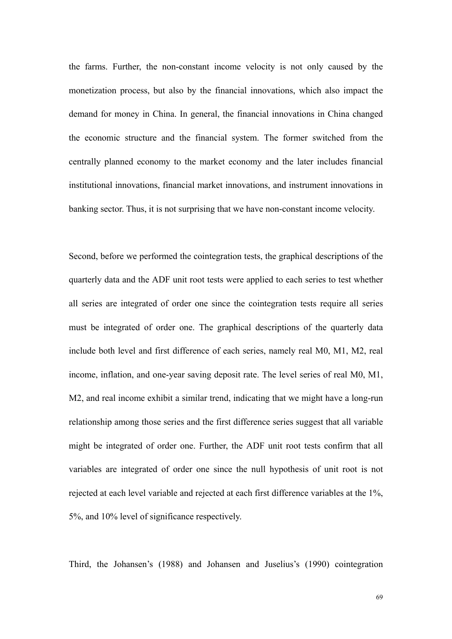the farms. Further, the non-constant income velocity is not only caused by the monetization process, but also by the financial innovations, which also impact the demand for money in China. In general, the financial innovations in China changed the economic structure and the financial system. The former switched from the centrally planned economy to the market economy and the later includes financial institutional innovations, financial market innovations, and instrument innovations in banking sector. Thus, it is not surprising that we have non-constant income velocity.

Second, before we performed the cointegration tests, the graphical descriptions of the quarterly data and the ADF unit root tests were applied to each series to test whether all series are integrated of order one since the cointegration tests require all series must be integrated of order one. The graphical descriptions of the quarterly data include both level and first difference of each series, namely real M0, M1, M2, real income, inflation, and one-year saving deposit rate. The level series of real M0, M1, M2, and real income exhibit a similar trend, indicating that we might have a long-run relationship among those series and the first difference series suggest that all variable might be integrated of order one. Further, the ADF unit root tests confirm that all variables are integrated of order one since the null hypothesis of unit root is not rejected at each level variable and rejected at each first difference variables at the 1%, 5%, and 10% level of significance respectively.

Third, the Johansen's (1988) and Johansen and Juselius's (1990) cointegration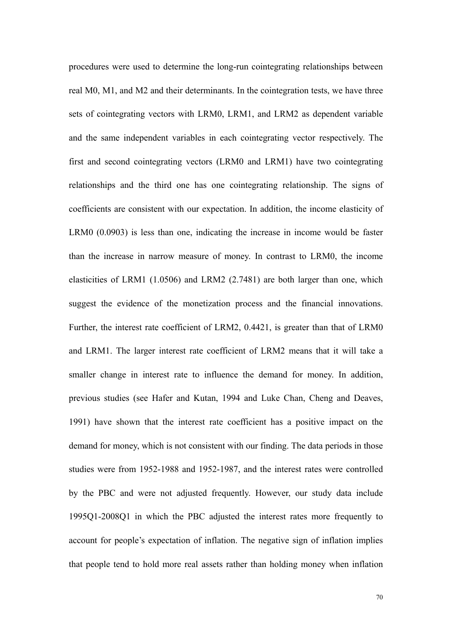procedures were used to determine the long-run cointegrating relationships between real M0, M1, and M2 and their determinants. In the cointegration tests, we have three sets of cointegrating vectors with LRM0, LRM1, and LRM2 as dependent variable and the same independent variables in each cointegrating vector respectively. The first and second cointegrating vectors (LRM0 and LRM1) have two cointegrating relationships and the third one has one cointegrating relationship. The signs of coefficients are consistent with our expectation. In addition, the income elasticity of LRM0 (0.0903) is less than one, indicating the increase in income would be faster than the increase in narrow measure of money. In contrast to LRM0, the income elasticities of LRM1 (1.0506) and LRM2 (2.7481) are both larger than one, which suggest the evidence of the monetization process and the financial innovations. Further, the interest rate coefficient of LRM2, 0.4421, is greater than that of LRM0 and LRM1. The larger interest rate coefficient of LRM2 means that it will take a smaller change in interest rate to influence the demand for money. In addition, previous studies (see Hafer and Kutan, 1994 and Luke Chan, Cheng and Deaves, 1991) have shown that the interest rate coefficient has a positive impact on the demand for money, which is not consistent with our finding. The data periods in those studies were from 1952-1988 and 1952-1987, and the interest rates were controlled by the PBC and were not adjusted frequently. However, our study data include 1995Q1-2008Q1 in which the PBC adjusted the interest rates more frequently to account for people's expectation of inflation. The negative sign of inflation implies that people tend to hold more real assets rather than holding money when inflation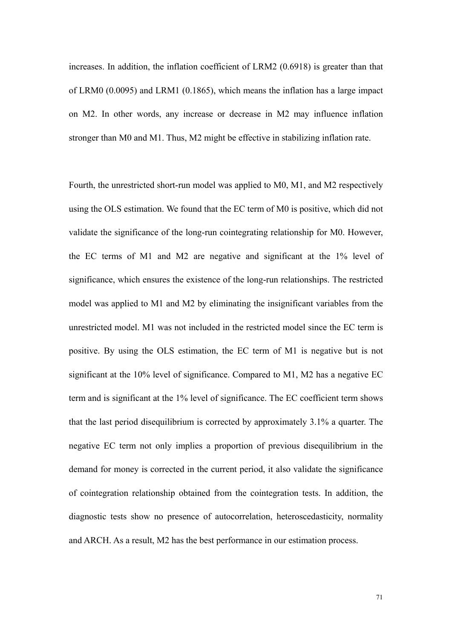increases. In addition, the inflation coefficient of LRM2 (0.6918) is greater than that of LRM0 (0.0095) and LRM1 (0.1865), which means the inflation has a large impact on M2. In other words, any increase or decrease in M2 may influence inflation stronger than M0 and M1. Thus, M2 might be effective in stabilizing inflation rate.

Fourth, the unrestricted short-run model was applied to M0, M1, and M2 respectively using the OLS estimation. We found that the EC term of M0 is positive, which did not validate the significance of the long-run cointegrating relationship for M0. However, the EC terms of M1 and M2 are negative and significant at the 1% level of significance, which ensures the existence of the long-run relationships. The restricted model was applied to M1 and M2 by eliminating the insignificant variables from the unrestricted model. M1 was not included in the restricted model since the EC term is positive. By using the OLS estimation, the EC term of M1 is negative but is not significant at the 10% level of significance. Compared to M1, M2 has a negative EC term and is significant at the 1% level of significance. The EC coefficient term shows that the last period disequilibrium is corrected by approximately 3.1% a quarter. The negative EC term not only implies a proportion of previous disequilibrium in the demand for money is corrected in the current period, it also validate the significance of cointegration relationship obtained from the cointegration tests. In addition, the diagnostic tests show no presence of autocorrelation, heteroscedasticity, normality and ARCH. As a result, M2 has the best performance in our estimation process.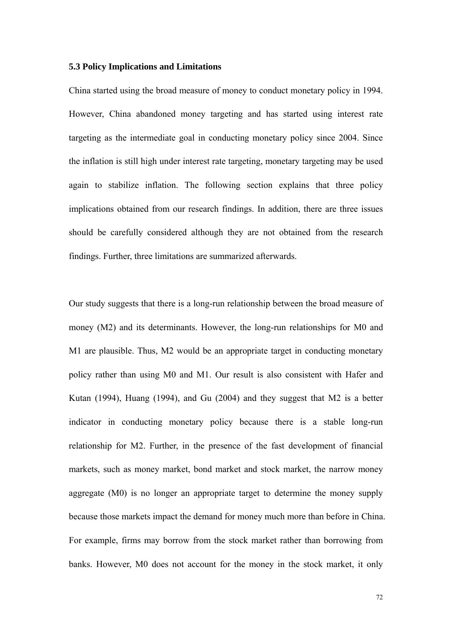#### **5.3 Policy Implications and Limitations**

China started using the broad measure of money to conduct monetary policy in 1994. However, China abandoned money targeting and has started using interest rate targeting as the intermediate goal in conducting monetary policy since 2004. Since the inflation is still high under interest rate targeting, monetary targeting may be used again to stabilize inflation. The following section explains that three policy implications obtained from our research findings. In addition, there are three issues should be carefully considered although they are not obtained from the research findings. Further, three limitations are summarized afterwards.

Our study suggests that there is a long-run relationship between the broad measure of money (M2) and its determinants. However, the long-run relationships for M0 and M1 are plausible. Thus, M2 would be an appropriate target in conducting monetary policy rather than using M0 and M1. Our result is also consistent with Hafer and Kutan (1994), Huang (1994), and Gu (2004) and they suggest that M2 is a better indicator in conducting monetary policy because there is a stable long-run relationship for M2. Further, in the presence of the fast development of financial markets, such as money market, bond market and stock market, the narrow money aggregate (M0) is no longer an appropriate target to determine the money supply because those markets impact the demand for money much more than before in China. For example, firms may borrow from the stock market rather than borrowing from banks. However, M0 does not account for the money in the stock market, it only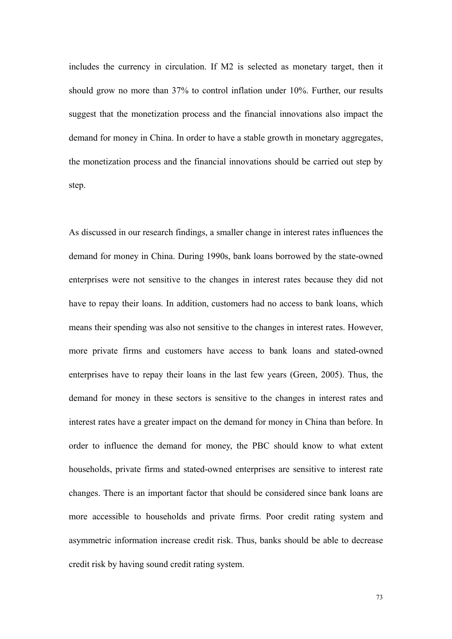includes the currency in circulation. If M2 is selected as monetary target, then it should grow no more than 37% to control inflation under 10%. Further, our results suggest that the monetization process and the financial innovations also impact the demand for money in China. In order to have a stable growth in monetary aggregates, the monetization process and the financial innovations should be carried out step by step.

As discussed in our research findings, a smaller change in interest rates influences the demand for money in China. During 1990s, bank loans borrowed by the state-owned enterprises were not sensitive to the changes in interest rates because they did not have to repay their loans. In addition, customers had no access to bank loans, which means their spending was also not sensitive to the changes in interest rates. However, more private firms and customers have access to bank loans and stated-owned enterprises have to repay their loans in the last few years (Green, 2005). Thus, the demand for money in these sectors is sensitive to the changes in interest rates and interest rates have a greater impact on the demand for money in China than before. In order to influence the demand for money, the PBC should know to what extent households, private firms and stated-owned enterprises are sensitive to interest rate changes. There is an important factor that should be considered since bank loans are more accessible to households and private firms. Poor credit rating system and asymmetric information increase credit risk. Thus, banks should be able to decrease credit risk by having sound credit rating system.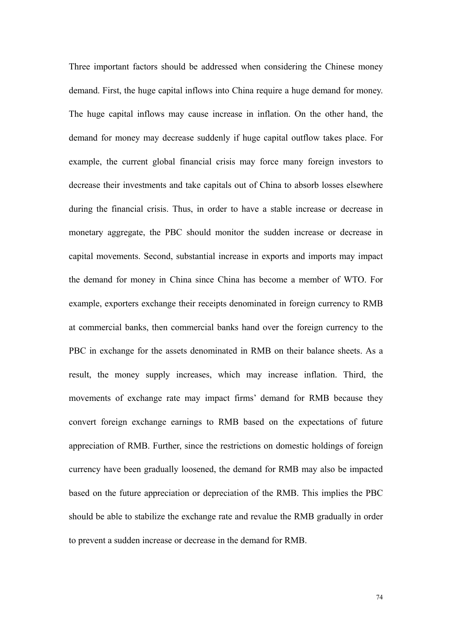Three important factors should be addressed when considering the Chinese money demand. First, the huge capital inflows into China require a huge demand for money. The huge capital inflows may cause increase in inflation. On the other hand, the demand for money may decrease suddenly if huge capital outflow takes place. For example, the current global financial crisis may force many foreign investors to decrease their investments and take capitals out of China to absorb losses elsewhere during the financial crisis. Thus, in order to have a stable increase or decrease in monetary aggregate, the PBC should monitor the sudden increase or decrease in capital movements. Second, substantial increase in exports and imports may impact the demand for money in China since China has become a member of WTO. For example, exporters exchange their receipts denominated in foreign currency to RMB at commercial banks, then commercial banks hand over the foreign currency to the PBC in exchange for the assets denominated in RMB on their balance sheets. As a result, the money supply increases, which may increase inflation. Third, the movements of exchange rate may impact firms' demand for RMB because they convert foreign exchange earnings to RMB based on the expectations of future appreciation of RMB. Further, since the restrictions on domestic holdings of foreign currency have been gradually loosened, the demand for RMB may also be impacted based on the future appreciation or depreciation of the RMB. This implies the PBC should be able to stabilize the exchange rate and revalue the RMB gradually in order to prevent a sudden increase or decrease in the demand for RMB.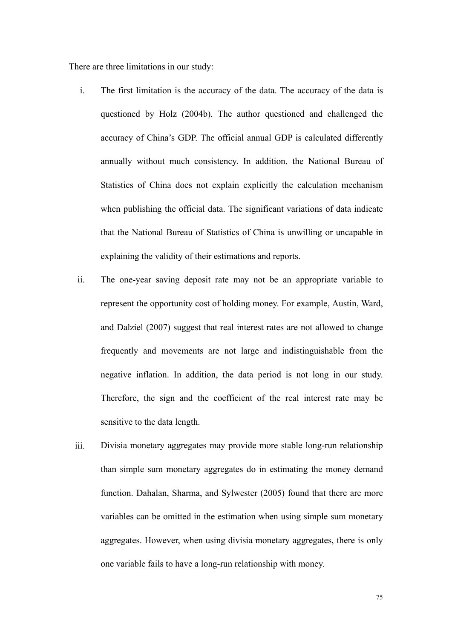There are three limitations in our study:

- i. The first limitation is the accuracy of the data. The accuracy of the data is questioned by Holz (2004b). The author questioned and challenged the accuracy of China's GDP. The official annual GDP is calculated differently annually without much consistency. In addition, the National Bureau of Statistics of China does not explain explicitly the calculation mechanism when publishing the official data. The significant variations of data indicate that the National Bureau of Statistics of China is unwilling or uncapable in explaining the validity of their estimations and reports.
- ii. The one-year saving deposit rate may not be an appropriate variable to represent the opportunity cost of holding money. For example, Austin, Ward, and Dalziel (2007) suggest that real interest rates are not allowed to change frequently and movements are not large and indistinguishable from the negative inflation. In addition, the data period is not long in our study. Therefore, the sign and the coefficient of the real interest rate may be sensitive to the data length.
- iii. Divisia monetary aggregates may provide more stable long-run relationship than simple sum monetary aggregates do in estimating the money demand function. Dahalan, Sharma, and Sylwester (2005) found that there are more variables can be omitted in the estimation when using simple sum monetary aggregates. However, when using divisia monetary aggregates, there is only one variable fails to have a long-run relationship with money.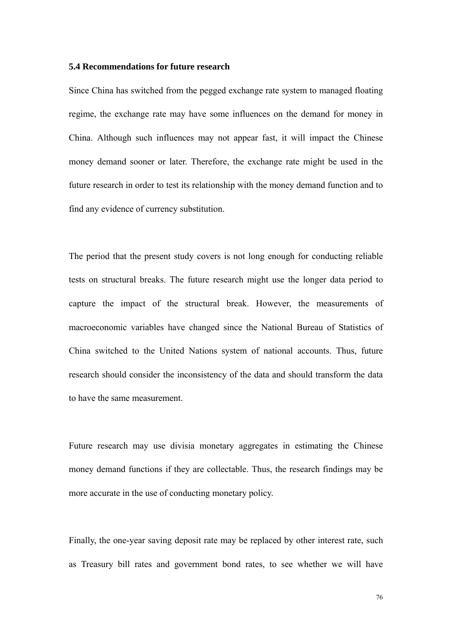#### **5.4 Recommendations for future research**

Since China has switched from the pegged exchange rate system to managed floating regime, the exchange rate may have some influences on the demand for money in China. Although such influences may not appear fast, it will impact the Chinese money demand sooner or later. Therefore, the exchange rate might be used in the future research in order to test its relationship with the money demand function and to find any evidence of currency substitution.

The period that the present study covers is not long enough for conducting reliable tests on structural breaks. The future research might use the longer data period to capture the impact of the structural break. However, the measurements of macroeconomic variables have changed since the National Bureau of Statistics of China switched to the United Nations system of national accounts. Thus, future research should consider the inconsistency of the data and should transform the data to have the same measurement.

Future research may use divisia monetary aggregates in estimating the Chinese money demand functions if they are collectable. Thus, the research findings may be more accurate in the use of conducting monetary policy.

Finally, the one-year saving deposit rate may be replaced by other interest rate, such as Treasury bill rates and government bond rates, to see whether we will have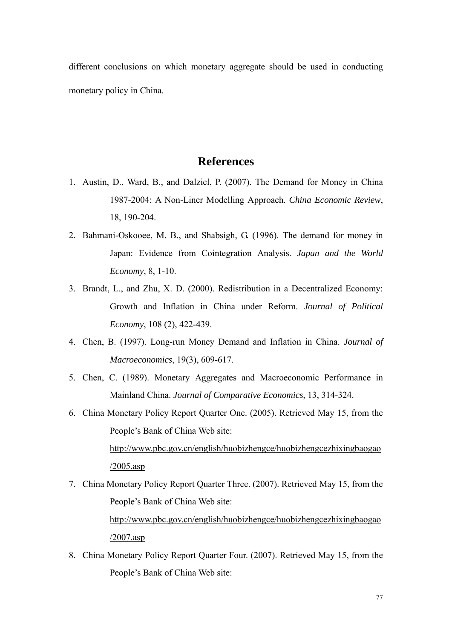different conclusions on which monetary aggregate should be used in conducting monetary policy in China.

## **References**

- 1. Austin, D., Ward, B., and Dalziel, P. (2007). The Demand for Money in China 1987-2004: A Non-Liner Modelling Approach. *China Economic Review*, 18, 190-204.
- 2. Bahmani-Oskooee, M. B., and Shabsigh, G. (1996). The demand for money in Japan: Evidence from Cointegration Analysis. *Japan and the World Economy*, 8, 1-10.
- 3. Brandt, L., and Zhu, X. D. (2000). Redistribution in a Decentralized Economy: Growth and Inflation in China under Reform. *Journal of Political Economy*, 108 (2), 422-439.
- 4. Chen, B. (1997). Long-run Money Demand and Inflation in China. *Journal of Macroeconomics*, 19(3), 609-617.
- 5. Chen, C. (1989). Monetary Aggregates and Macroeconomic Performance in Mainland China. *Journal of Comparative Economics*, 13, 314-324.
- 6. China Monetary Policy Report Quarter One. (2005). Retrieved May 15, from the People's Bank of China Web site:

[http://www.pbc.gov.cn/english/huobizhengce/huobizhengcezhixingbaogao](http://www.pbc.gov.cn/english/huobizhengce/huobizhengcezhixingbaogao/2005.asp) [/2005.asp](http://www.pbc.gov.cn/english/huobizhengce/huobizhengcezhixingbaogao/2005.asp)

- 7. China Monetary Policy Report Quarter Three. (2007). Retrieved May 15, from the People's Bank of China Web site: [http://www.pbc.gov.cn/english/huobizhengce/huobizhengcezhixingbaogao](http://www.pbc.gov.cn/english/huobizhengce/huobizhengcezhixingbaogao/2007.asp) [/2007.asp](http://www.pbc.gov.cn/english/huobizhengce/huobizhengcezhixingbaogao/2007.asp)
- 8. China Monetary Policy Report Quarter Four. (2007). Retrieved May 15, from the People's Bank of China Web site: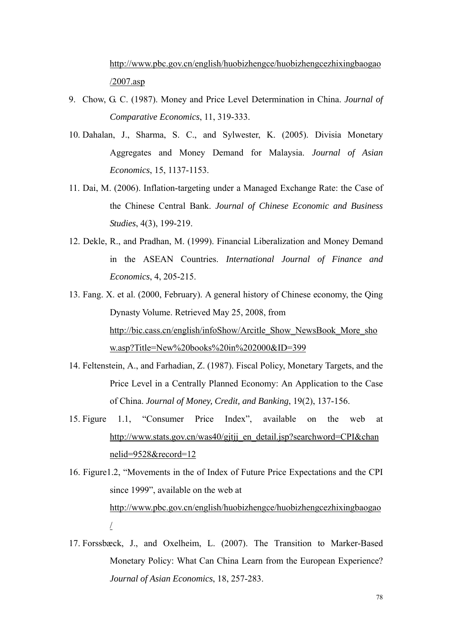[http://www.pbc.gov.cn/english/huobizhengce/huobizhengcezhixingbaogao](http://www.pbc.gov.cn/english/huobizhengce/huobizhengcezhixingbaogao/2007.asp) [/2007.asp](http://www.pbc.gov.cn/english/huobizhengce/huobizhengcezhixingbaogao/2007.asp)

- 9. Chow, G. C. (1987). Money and Price Level Determination in China. *Journal of Comparative Economics*, 11, 319-333.
- 10. Dahalan, J., Sharma, S. C., and Sylwester, K. (2005). Divisia Monetary Aggregates and Money Demand for Malaysia. *Journal of Asian Economics*, 15, 1137-1153.
- 11. Dai, M. (2006). Inflation-targeting under a Managed Exchange Rate: the Case of the Chinese Central Bank. *Journal of Chinese Economic and Business Studies*, 4(3), 199-219.
- 12. Dekle, R., and Pradhan, M. (1999). Financial Liberalization and Money Demand in the ASEAN Countries. *International Journal of Finance and Economics*, 4, 205-215.
- 13. Fang. X. et al. (2000, February). A general history of Chinese economy, the Qing Dynasty Volume. Retrieved May 25, 2008, from [http://bic.cass.cn/english/infoShow/Arcitle\\_Show\\_NewsBook\\_More\\_sho](http://bic.cass.cn/english/infoShow/Arcitle_Show_NewsBook_More_show.asp?Title=New%20books%20in%202000&ID=399) [w.asp?Title=New%20books%20in%202000&ID=399](http://bic.cass.cn/english/infoShow/Arcitle_Show_NewsBook_More_show.asp?Title=New%20books%20in%202000&ID=399)
- 14. Feltenstein, A., and Farhadian, Z. (1987). Fiscal Policy, Monetary Targets, and the Price Level in a Centrally Planned Economy: An Application to the Case of China. *Journal of Money, Credit, and Banking*, 19(2), 137-156.
- 15. Figure 1.1, "Consumer Price Index", available on the web at [http://www.stats.gov.cn/was40/gjtjj\\_en\\_detail.jsp?searchword=CPI&chan](http://www.stats.gov.cn/was40/gjtjj_en_detail.jsp?searchword=CPI&channelid=9528&record=12) [nelid=9528&record=12](http://www.stats.gov.cn/was40/gjtjj_en_detail.jsp?searchword=CPI&channelid=9528&record=12)

16. Figure1.2, "Movements in the of Index of Future Price Expectations and the CPI since 1999", available on the web at [http://www.pbc.gov.cn/english/huobizhengce/huobizhengcezhixingbaogao](http://www.pbc.gov.cn/english/huobizhengce/huobizhengcezhixingbaogao/) [/](http://www.pbc.gov.cn/english/huobizhengce/huobizhengcezhixingbaogao/)

17. Forssbæck, J., and Oxelheim, L. (2007). The Transition to Marker-Based Monetary Policy: What Can China Learn from the European Experience? *Journal of Asian Economics*, 18, 257-283.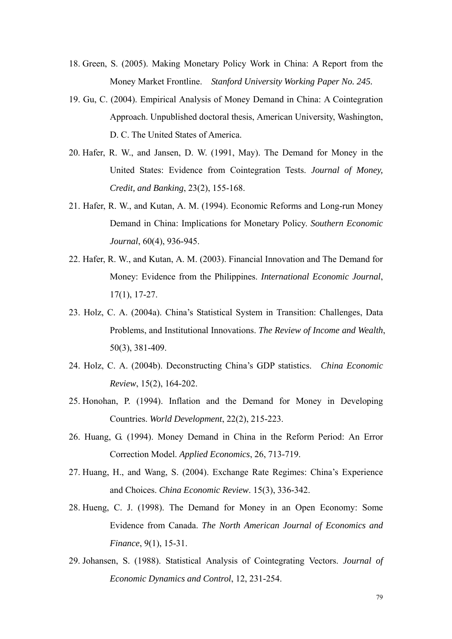- 18. Green, S. (2005). Making Monetary Policy Work in China: A Report from the Money Market Frontline. *Stanford University Working Paper No. 245.*
- 19. Gu, C. (2004). Empirical Analysis of Money Demand in China: A Cointegration Approach. Unpublished doctoral thesis, American University, Washington, D. C. The United States of America.
- 20. Hafer, R. W., and Jansen, D. W. (1991, May). The Demand for Money in the United States: Evidence from Cointegration Tests. *Journal of Money, Credit, and Banking*, 23(2), 155-168.
- 21. Hafer, R. W., and Kutan, A. M. (1994). Economic Reforms and Long-run Money Demand in China: Implications for Monetary Policy. *Southern Economic Journal*, 60(4), 936-945.
- 22. Hafer, R. W., and Kutan, A. M. (2003). Financial Innovation and The Demand for Money: Evidence from the Philippines. *International Economic Journal*, 17(1), 17-27.
- 23. Holz, C. A. (2004a). China's Statistical System in Transition: Challenges, Data Problems, and Institutional Innovations. *The Review of Income and Wealth*, 50(3), 381-409.
- 24. Holz, C. A. (2004b). Deconstructing China's GDP statistics. *China Economic Review*, 15(2), 164-202.
- 25. Honohan, P. (1994). Inflation and the Demand for Money in Developing Countries. *World Development*, 22(2), 215-223.
- 26. Huang, G. (1994). Money Demand in China in the Reform Period: An Error Correction Model. *Applied Economics*, 26, 713-719.
- 27. Huang, H., and Wang, S. (2004). Exchange Rate Regimes: China's Experience and Choices. *China Economic Review*. 15(3), 336-342.
- 28. Hueng, C. J. (1998). The Demand for Money in an Open Economy: Some Evidence from Canada. *The North American Journal of Economics and Finance*, 9(1), 15-31.
- 29. Johansen, S. (1988). Statistical Analysis of Cointegrating Vectors. *Journal of Economic Dynamics and Control*, 12, 231-254.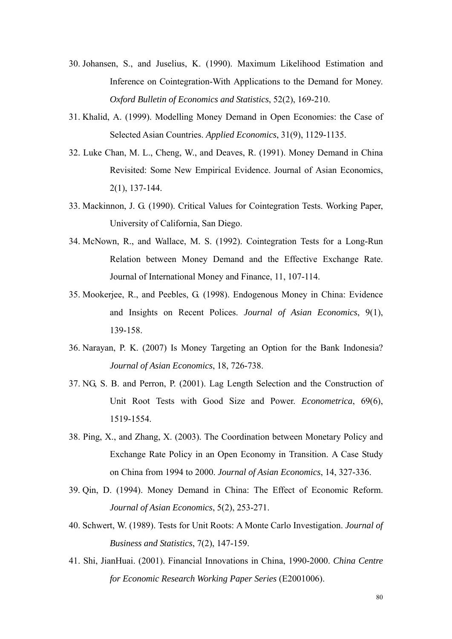- 30. Johansen, S., and Juselius, K. (1990). Maximum Likelihood Estimation and Inference on Cointegration-With Applications to the Demand for Money. *Oxford Bulletin of Economics and Statistics*, 52(2), 169-210.
- 31. Khalid, A. (1999). Modelling Money Demand in Open Economies: the Case of Selected Asian Countries. *Applied Economics*, 31(9), 1129-1135.
- 32. Luke Chan, M. L., Cheng, W., and Deaves, R. (1991). Money Demand in China Revisited: Some New Empirical Evidence. Journal of Asian Economics, 2(1), 137-144.
- 33. Mackinnon, J. G. (1990). Critical Values for Cointegration Tests. Working Paper, University of California, San Diego.
- 34. McNown, R., and Wallace, M. S. (1992). Cointegration Tests for a Long-Run Relation between Money Demand and the Effective Exchange Rate. Journal of International Money and Finance, 11, 107-114.
- 35. Mookerjee, R., and Peebles, G. (1998). Endogenous Money in China: Evidence and Insights on Recent Polices. *Journal of Asian Economics*, 9(1), 139-158.
- 36. Narayan, P. K. (2007) Is Money Targeting an Option for the Bank Indonesia? *Journal of Asian Economics*, 18, 726-738.
- 37. NG, S. B. and Perron, P. (2001). Lag Length Selection and the Construction of Unit Root Tests with Good Size and Power. *Econometrica*, 69(6), 1519-1554.
- 38. Ping, X., and Zhang, X. (2003). The Coordination between Monetary Policy and Exchange Rate Policy in an Open Economy in Transition. A Case Study on China from 1994 to 2000. *Journal of Asian Economics*, 14, 327-336.
- 39. Qin, D. (1994). Money Demand in China: The Effect of Economic Reform. *Journal of Asian Economics*, 5(2), 253-271.
- 40. Schwert, W. (1989). Tests for Unit Roots: A Monte Carlo Investigation. *Journal of Business and Statistics*, 7(2), 147-159.
- 41. Shi, JianHuai. (2001). Financial Innovations in China, 1990-2000. *China Centre for Economic Research Working Paper Series* (E2001006).